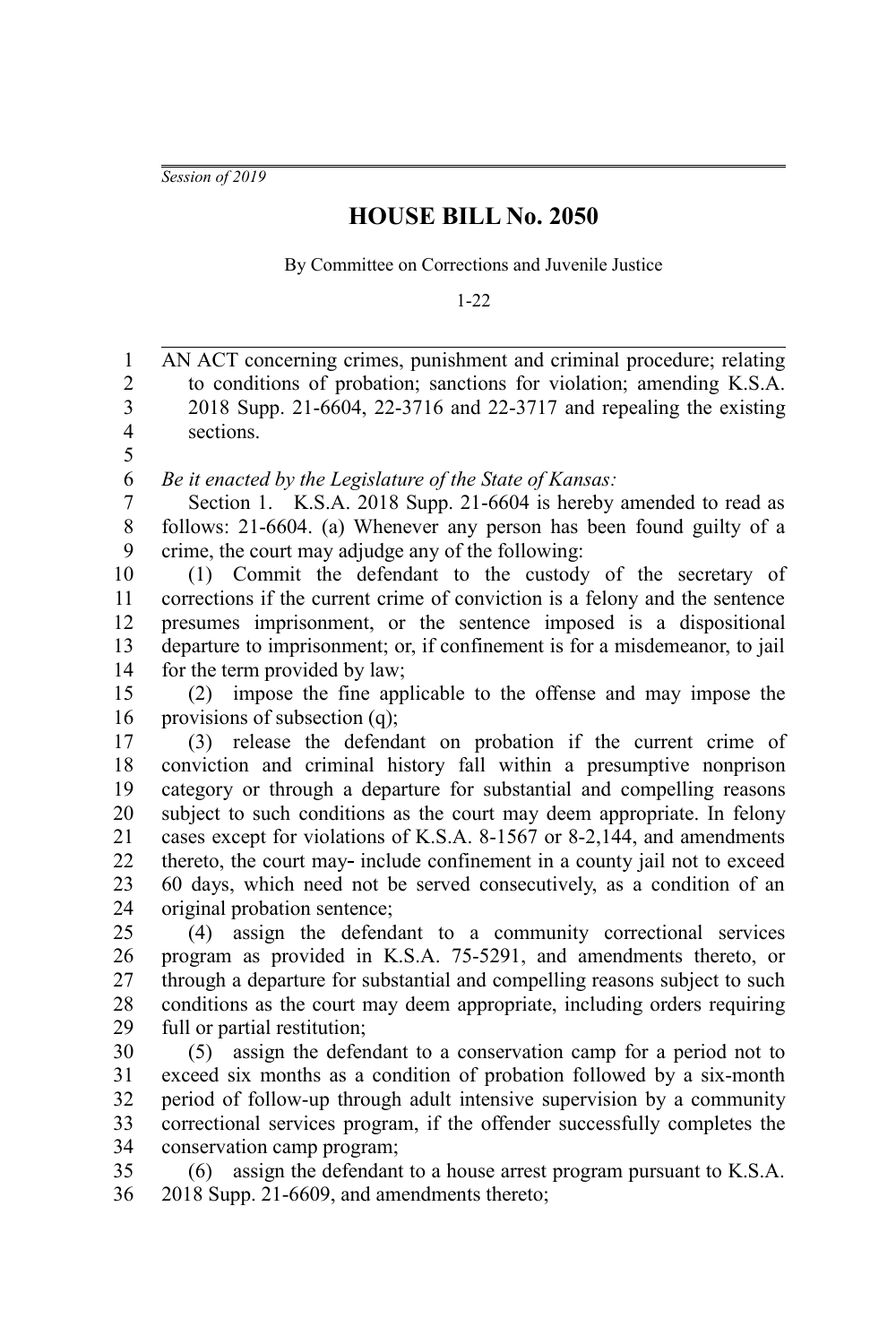*Session of 2019*

## **HOUSE BILL No. 2050**

By Committee on Corrections and Juvenile Justice

1-22

AN ACT concerning crimes, punishment and criminal procedure; relating to conditions of probation; sanctions for violation; amending K.S.A. 2018 Supp. 21-6604, 22-3716 and 22-3717 and repealing the existing sections. 1 2 3 4 5

*Be it enacted by the Legislature of the State of Kansas:* 6

Section 1. K.S.A. 2018 Supp. 21-6604 is hereby amended to read as follows: 21-6604. (a) Whenever any person has been found guilty of a crime, the court may adjudge any of the following: 7 8 9

(1) Commit the defendant to the custody of the secretary of corrections if the current crime of conviction is a felony and the sentence presumes imprisonment, or the sentence imposed is a dispositional departure to imprisonment; or, if confinement is for a misdemeanor, to jail for the term provided by law; 10 11 12 13 14

(2) impose the fine applicable to the offense and may impose the provisions of subsection (q); 15 16

(3) release the defendant on probation if the current crime of conviction and criminal history fall within a presumptive nonprison category or through a departure for substantial and compelling reasons subject to such conditions as the court may deem appropriate. In felony cases except for violations of K.S.A. 8-1567 or 8-2,144, and amendments thereto, the court may-include confinement in a county jail not to exceed 60 days, which need not be served consecutively, as a condition of an original probation sentence; 17 18 19 20 21 22 23 24

(4) assign the defendant to a community correctional services program as provided in K.S.A. 75-5291, and amendments thereto, or through a departure for substantial and compelling reasons subject to such conditions as the court may deem appropriate, including orders requiring full or partial restitution; 25 26 27 28 29

(5) assign the defendant to a conservation camp for a period not to exceed six months as a condition of probation followed by a six-month period of follow-up through adult intensive supervision by a community correctional services program, if the offender successfully completes the conservation camp program; 30 31 32 33 34

(6) assign the defendant to a house arrest program pursuant to K.S.A. 2018 Supp. 21-6609, and amendments thereto; 35 36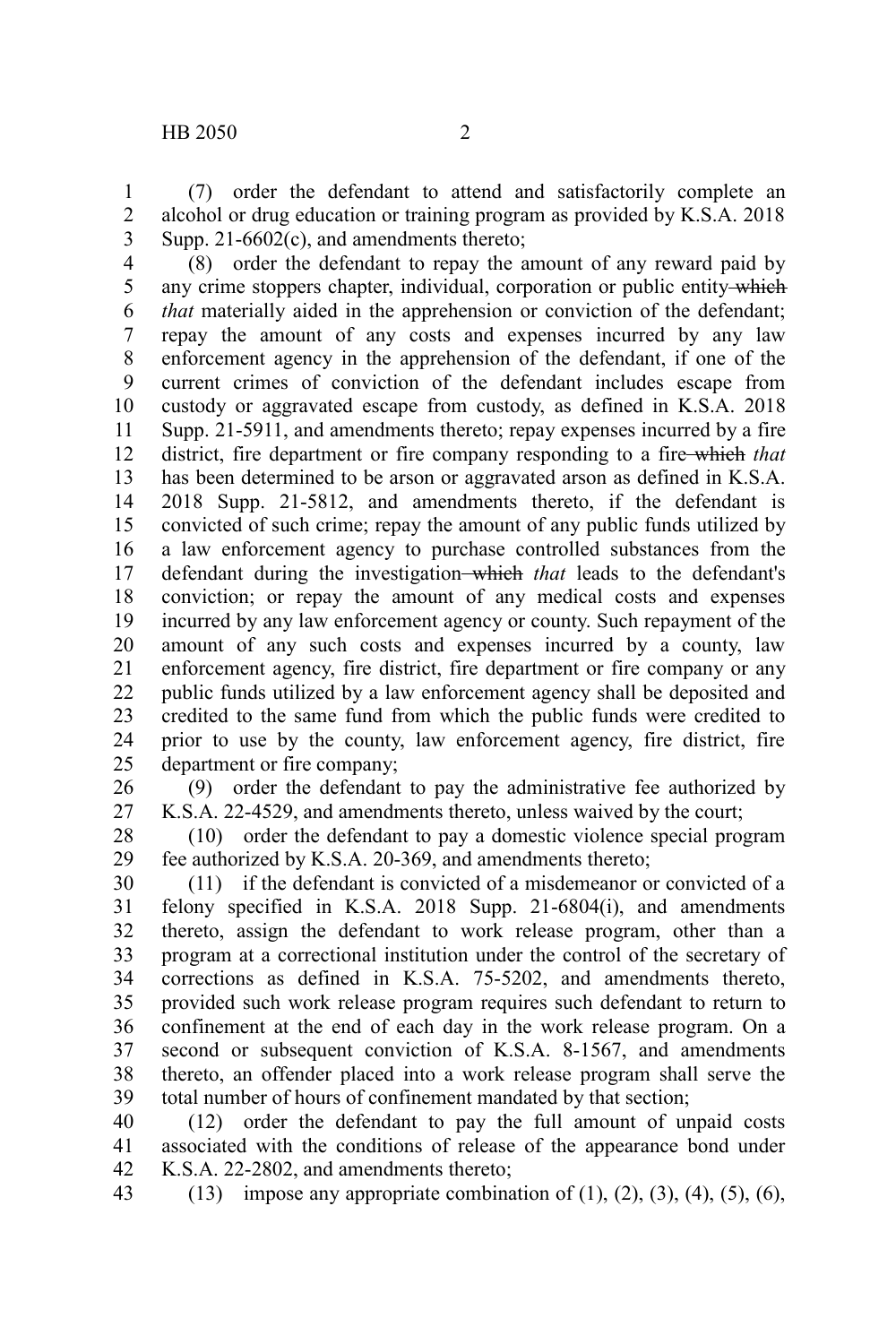(7) order the defendant to attend and satisfactorily complete an alcohol or drug education or training program as provided by K.S.A. 2018 Supp. 21-6602(c), and amendments thereto; 1 2 3

(8) order the defendant to repay the amount of any reward paid by any crime stoppers chapter, individual, corporation or public entity which *that* materially aided in the apprehension or conviction of the defendant; repay the amount of any costs and expenses incurred by any law enforcement agency in the apprehension of the defendant, if one of the current crimes of conviction of the defendant includes escape from custody or aggravated escape from custody, as defined in K.S.A. 2018 Supp. 21-5911, and amendments thereto; repay expenses incurred by a fire district, fire department or fire company responding to a fire which *that* has been determined to be arson or aggravated arson as defined in K.S.A. 2018 Supp. 21-5812, and amendments thereto, if the defendant is convicted of such crime; repay the amount of any public funds utilized by a law enforcement agency to purchase controlled substances from the defendant during the investigation which *that* leads to the defendant's conviction; or repay the amount of any medical costs and expenses incurred by any law enforcement agency or county. Such repayment of the amount of any such costs and expenses incurred by a county, law enforcement agency, fire district, fire department or fire company or any public funds utilized by a law enforcement agency shall be deposited and credited to the same fund from which the public funds were credited to prior to use by the county, law enforcement agency, fire district, fire department or fire company; 4 5 6 7 8 9 10 11 12 13 14 15 16 17 18 19 20 21 22 23 24 25

(9) order the defendant to pay the administrative fee authorized by K.S.A. 22-4529, and amendments thereto, unless waived by the court; 26 27

(10) order the defendant to pay a domestic violence special program fee authorized by K.S.A. 20-369, and amendments thereto; 28 29

(11) if the defendant is convicted of a misdemeanor or convicted of a felony specified in K.S.A. 2018 Supp. 21-6804(i), and amendments thereto, assign the defendant to work release program, other than a program at a correctional institution under the control of the secretary of corrections as defined in K.S.A. 75-5202, and amendments thereto, provided such work release program requires such defendant to return to confinement at the end of each day in the work release program. On a second or subsequent conviction of K.S.A. 8-1567, and amendments thereto, an offender placed into a work release program shall serve the total number of hours of confinement mandated by that section; 30 31 32 33 34 35 36 37 38 39

(12) order the defendant to pay the full amount of unpaid costs associated with the conditions of release of the appearance bond under K.S.A. 22-2802, and amendments thereto; 40 41 42

(13) impose any appropriate combination of  $(1)$ ,  $(2)$ ,  $(3)$ ,  $(4)$ ,  $(5)$ ,  $(6)$ , 43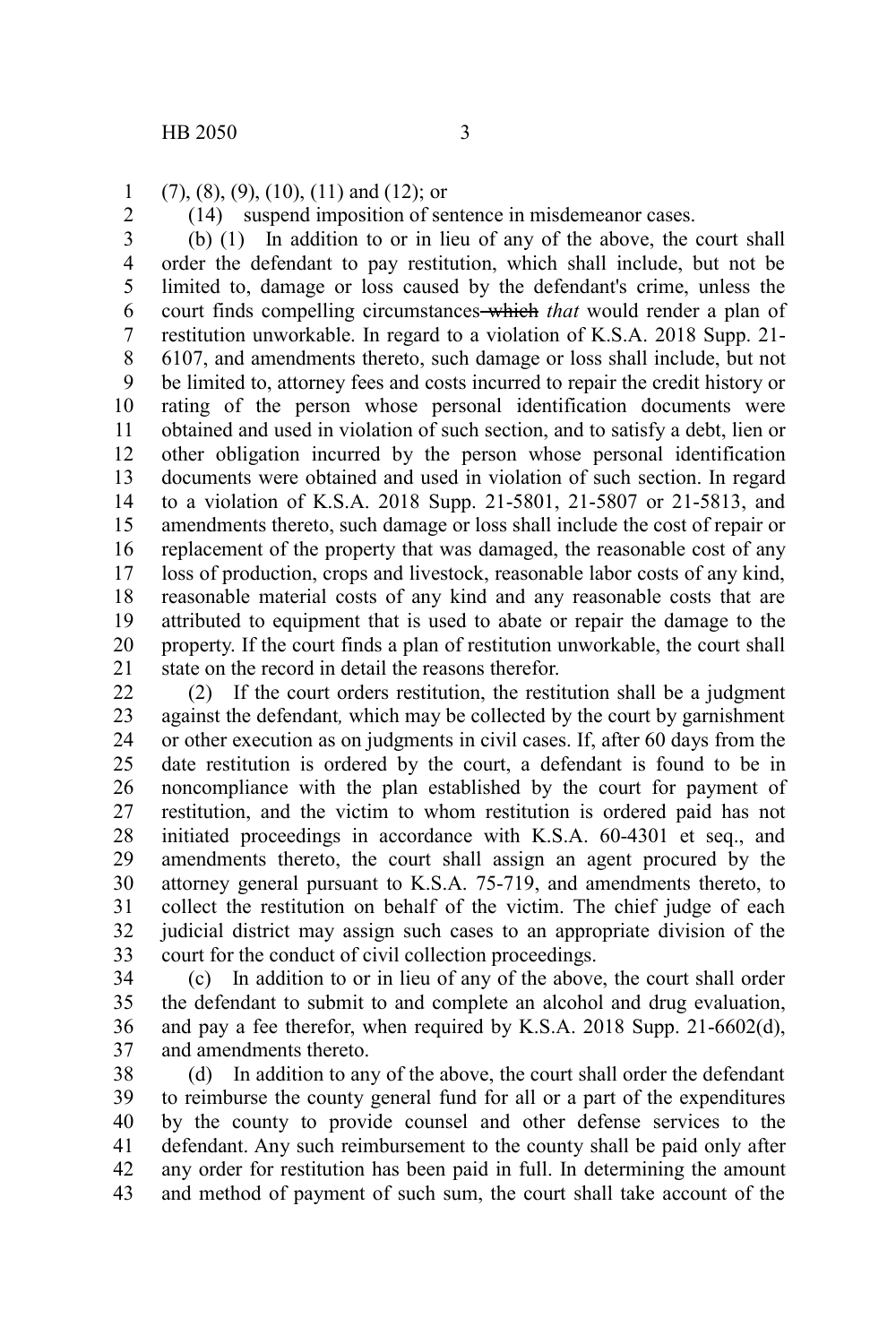(7), (8), (9), (10), (11) and (12); or 1

2

(14) suspend imposition of sentence in misdemeanor cases.

(b) (1) In addition to or in lieu of any of the above, the court shall order the defendant to pay restitution, which shall include, but not be limited to, damage or loss caused by the defendant's crime, unless the court finds compelling circumstances which *that* would render a plan of restitution unworkable. In regard to a violation of K.S.A. 2018 Supp. 21- 6107, and amendments thereto, such damage or loss shall include, but not be limited to, attorney fees and costs incurred to repair the credit history or rating of the person whose personal identification documents were obtained and used in violation of such section, and to satisfy a debt, lien or other obligation incurred by the person whose personal identification documents were obtained and used in violation of such section. In regard to a violation of K.S.A. 2018 Supp. 21-5801, 21-5807 or 21-5813, and amendments thereto, such damage or loss shall include the cost of repair or replacement of the property that was damaged, the reasonable cost of any loss of production, crops and livestock, reasonable labor costs of any kind, reasonable material costs of any kind and any reasonable costs that are attributed to equipment that is used to abate or repair the damage to the property. If the court finds a plan of restitution unworkable, the court shall state on the record in detail the reasons therefor. 3 4 5 6 7 8 9 10 11 12 13 14 15 16 17 18 19 20 21

(2) If the court orders restitution, the restitution shall be a judgment against the defendant*,* which may be collected by the court by garnishment or other execution as on judgments in civil cases. If, after 60 days from the date restitution is ordered by the court, a defendant is found to be in noncompliance with the plan established by the court for payment of restitution, and the victim to whom restitution is ordered paid has not initiated proceedings in accordance with K.S.A. 60-4301 et seq., and amendments thereto, the court shall assign an agent procured by the attorney general pursuant to K.S.A. 75-719, and amendments thereto, to collect the restitution on behalf of the victim. The chief judge of each judicial district may assign such cases to an appropriate division of the court for the conduct of civil collection proceedings. 22 23 24 25 26 27 28 29 30 31 32 33

(c) In addition to or in lieu of any of the above, the court shall order the defendant to submit to and complete an alcohol and drug evaluation, and pay a fee therefor, when required by K.S.A. 2018 Supp. 21-6602(d), and amendments thereto. 34 35 36 37

(d) In addition to any of the above, the court shall order the defendant to reimburse the county general fund for all or a part of the expenditures by the county to provide counsel and other defense services to the defendant. Any such reimbursement to the county shall be paid only after any order for restitution has been paid in full. In determining the amount and method of payment of such sum, the court shall take account of the 38 39 40 41 42 43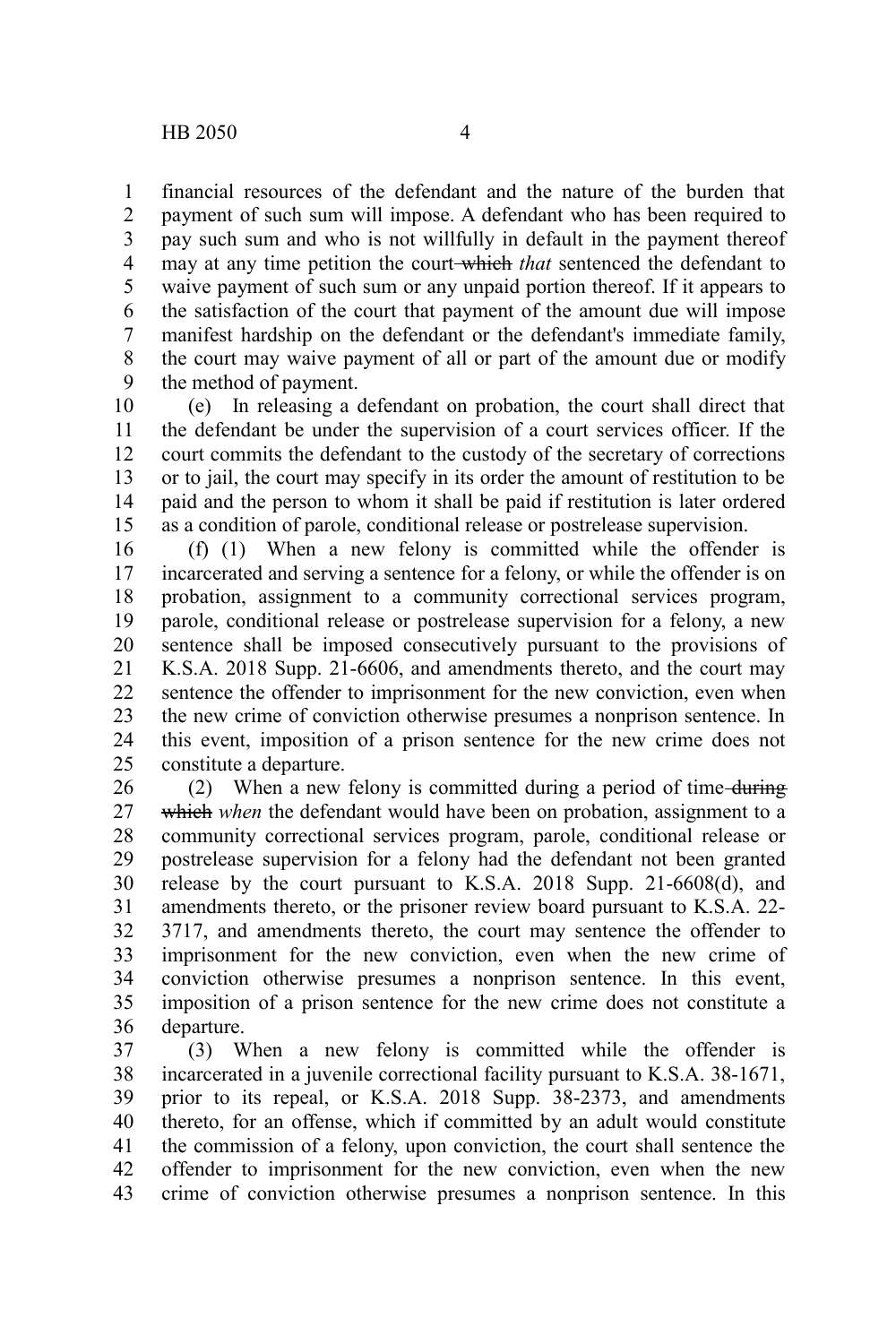financial resources of the defendant and the nature of the burden that payment of such sum will impose. A defendant who has been required to pay such sum and who is not willfully in default in the payment thereof may at any time petition the court-which *that* sentenced the defendant to waive payment of such sum or any unpaid portion thereof. If it appears to the satisfaction of the court that payment of the amount due will impose manifest hardship on the defendant or the defendant's immediate family, the court may waive payment of all or part of the amount due or modify the method of payment. 1 2 3 4 5 6 7 8 9

(e) In releasing a defendant on probation, the court shall direct that the defendant be under the supervision of a court services officer. If the court commits the defendant to the custody of the secretary of corrections or to jail, the court may specify in its order the amount of restitution to be paid and the person to whom it shall be paid if restitution is later ordered as a condition of parole, conditional release or postrelease supervision. 10 11 12 13 14 15

(f) (1) When a new felony is committed while the offender is incarcerated and serving a sentence for a felony, or while the offender is on probation, assignment to a community correctional services program, parole, conditional release or postrelease supervision for a felony, a new sentence shall be imposed consecutively pursuant to the provisions of K.S.A. 2018 Supp. 21-6606, and amendments thereto, and the court may sentence the offender to imprisonment for the new conviction, even when the new crime of conviction otherwise presumes a nonprison sentence. In this event, imposition of a prison sentence for the new crime does not constitute a departure. 16 17 18 19 20 21 22 23 24 25

(2) When a new felony is committed during a period of time-during which *when* the defendant would have been on probation, assignment to a community correctional services program, parole, conditional release or postrelease supervision for a felony had the defendant not been granted release by the court pursuant to K.S.A. 2018 Supp. 21-6608(d), and amendments thereto, or the prisoner review board pursuant to K.S.A. 22- 3717, and amendments thereto, the court may sentence the offender to imprisonment for the new conviction, even when the new crime of conviction otherwise presumes a nonprison sentence. In this event, imposition of a prison sentence for the new crime does not constitute a departure. 26 27 28 29 30 31 32 33 34 35 36

(3) When a new felony is committed while the offender is incarcerated in a juvenile correctional facility pursuant to K.S.A. 38-1671, prior to its repeal, or K.S.A. 2018 Supp. 38-2373, and amendments thereto, for an offense, which if committed by an adult would constitute the commission of a felony, upon conviction, the court shall sentence the offender to imprisonment for the new conviction, even when the new crime of conviction otherwise presumes a nonprison sentence. In this 37 38 39 40 41 42 43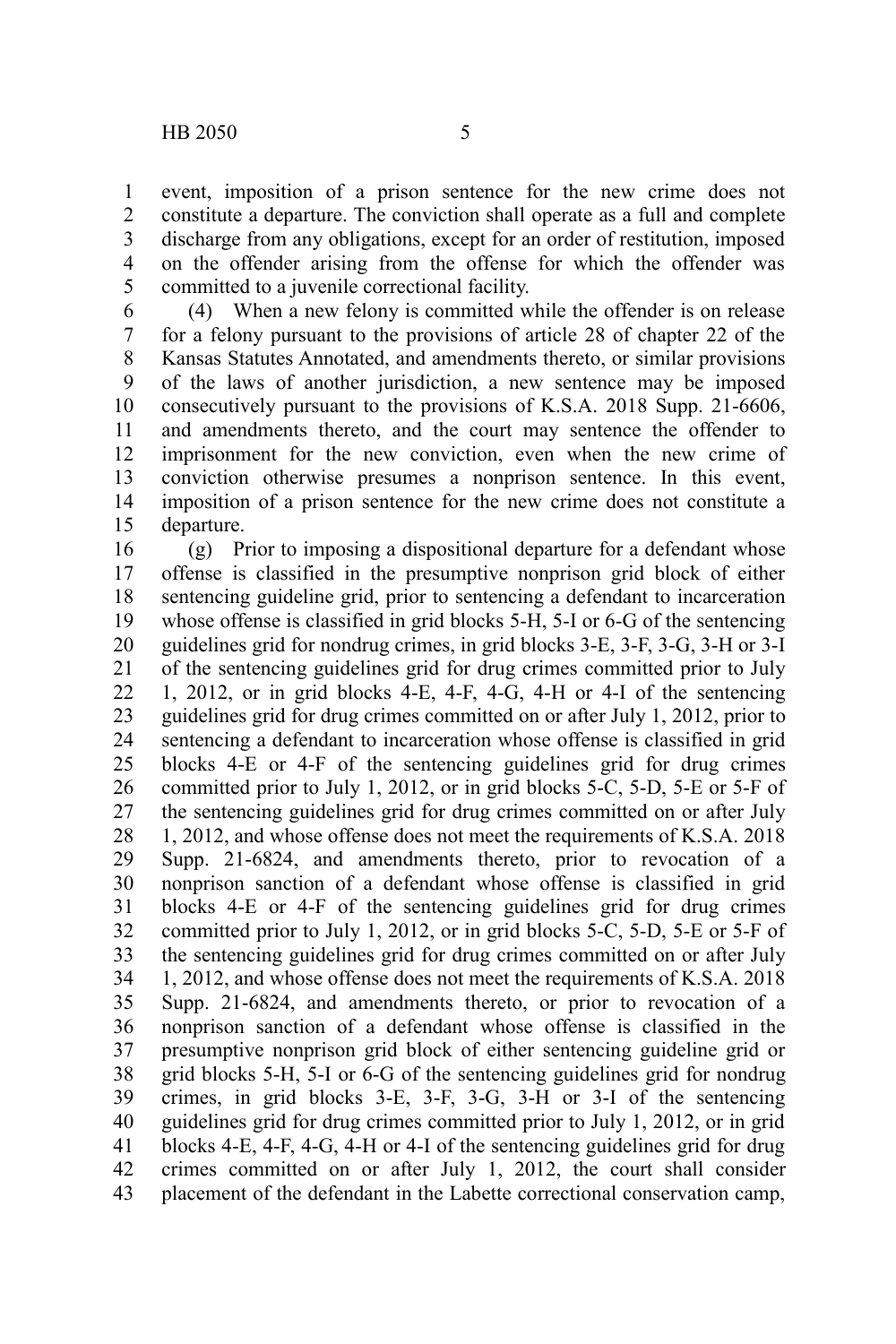event, imposition of a prison sentence for the new crime does not constitute a departure. The conviction shall operate as a full and complete discharge from any obligations, except for an order of restitution, imposed on the offender arising from the offense for which the offender was committed to a juvenile correctional facility. 1 2 3 4 5

(4) When a new felony is committed while the offender is on release for a felony pursuant to the provisions of article 28 of chapter 22 of the Kansas Statutes Annotated, and amendments thereto, or similar provisions of the laws of another jurisdiction, a new sentence may be imposed consecutively pursuant to the provisions of K.S.A. 2018 Supp. 21-6606, and amendments thereto, and the court may sentence the offender to imprisonment for the new conviction, even when the new crime of conviction otherwise presumes a nonprison sentence. In this event, imposition of a prison sentence for the new crime does not constitute a departure. 6 7 8 9 10 11 12 13 14 15

(g) Prior to imposing a dispositional departure for a defendant whose offense is classified in the presumptive nonprison grid block of either sentencing guideline grid, prior to sentencing a defendant to incarceration whose offense is classified in grid blocks 5-H, 5-I or 6-G of the sentencing guidelines grid for nondrug crimes, in grid blocks 3-E, 3-F, 3-G, 3-H or 3-I of the sentencing guidelines grid for drug crimes committed prior to July 1, 2012, or in grid blocks 4-E, 4-F, 4-G, 4-H or 4-I of the sentencing guidelines grid for drug crimes committed on or after July 1, 2012, prior to sentencing a defendant to incarceration whose offense is classified in grid blocks 4-E or 4-F of the sentencing guidelines grid for drug crimes committed prior to July 1, 2012, or in grid blocks 5-C, 5-D, 5-E or 5-F of the sentencing guidelines grid for drug crimes committed on or after July 1, 2012, and whose offense does not meet the requirements of K.S.A. 2018 Supp. 21-6824, and amendments thereto, prior to revocation of a nonprison sanction of a defendant whose offense is classified in grid blocks 4-E or 4-F of the sentencing guidelines grid for drug crimes committed prior to July 1, 2012, or in grid blocks 5-C, 5-D, 5-E or 5-F of the sentencing guidelines grid for drug crimes committed on or after July 1, 2012, and whose offense does not meet the requirements of K.S.A. 2018 Supp. 21-6824, and amendments thereto, or prior to revocation of a nonprison sanction of a defendant whose offense is classified in the presumptive nonprison grid block of either sentencing guideline grid or grid blocks 5-H, 5-I or 6-G of the sentencing guidelines grid for nondrug crimes, in grid blocks 3-E, 3-F, 3-G, 3-H or 3-I of the sentencing guidelines grid for drug crimes committed prior to July 1, 2012, or in grid blocks 4-E, 4-F, 4-G, 4-H or 4-I of the sentencing guidelines grid for drug crimes committed on or after July 1, 2012, the court shall consider placement of the defendant in the Labette correctional conservation camp, 16 17 18 19 20 21 22 23 24 25 26 27 28 29 30 31 32 33 34 35 36 37 38 39 40 41 42 43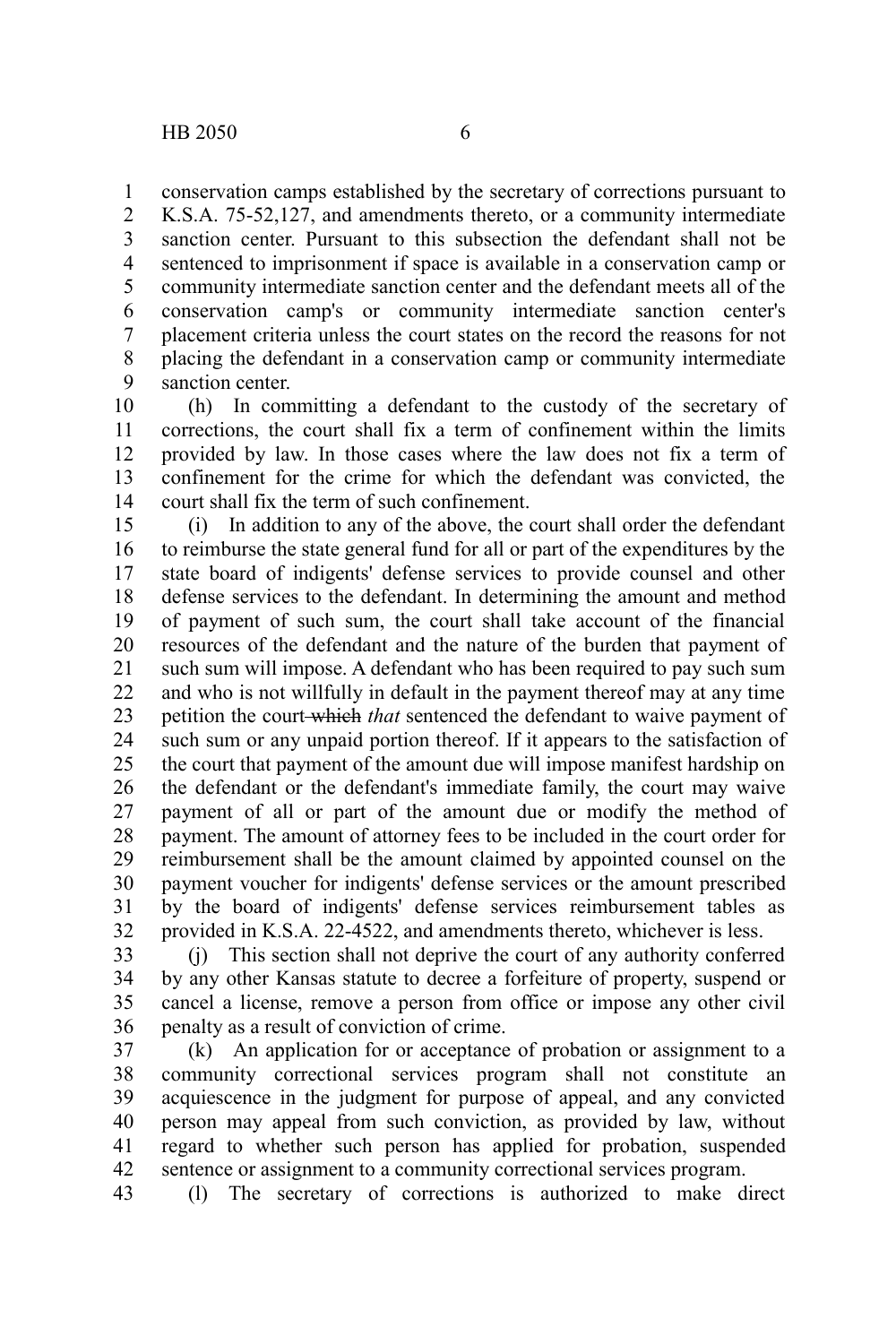conservation camps established by the secretary of corrections pursuant to K.S.A. 75-52,127, and amendments thereto, or a community intermediate sanction center. Pursuant to this subsection the defendant shall not be sentenced to imprisonment if space is available in a conservation camp or community intermediate sanction center and the defendant meets all of the conservation camp's or community intermediate sanction center's placement criteria unless the court states on the record the reasons for not placing the defendant in a conservation camp or community intermediate sanction center. 1 2 3 4 5 6 7 8 9

(h) In committing a defendant to the custody of the secretary of corrections, the court shall fix a term of confinement within the limits provided by law. In those cases where the law does not fix a term of confinement for the crime for which the defendant was convicted, the court shall fix the term of such confinement. 10 11 12 13 14

(i) In addition to any of the above, the court shall order the defendant to reimburse the state general fund for all or part of the expenditures by the state board of indigents' defense services to provide counsel and other defense services to the defendant. In determining the amount and method of payment of such sum, the court shall take account of the financial resources of the defendant and the nature of the burden that payment of such sum will impose. A defendant who has been required to pay such sum and who is not willfully in default in the payment thereof may at any time petition the court which *that* sentenced the defendant to waive payment of such sum or any unpaid portion thereof. If it appears to the satisfaction of the court that payment of the amount due will impose manifest hardship on the defendant or the defendant's immediate family, the court may waive payment of all or part of the amount due or modify the method of payment. The amount of attorney fees to be included in the court order for reimbursement shall be the amount claimed by appointed counsel on the payment voucher for indigents' defense services or the amount prescribed by the board of indigents' defense services reimbursement tables as provided in K.S.A. 22-4522, and amendments thereto, whichever is less. 15 16 17 18 19 20 21 22 23 24 25 26 27 28 29 30 31 32

(j) This section shall not deprive the court of any authority conferred by any other Kansas statute to decree a forfeiture of property, suspend or cancel a license, remove a person from office or impose any other civil penalty as a result of conviction of crime. 33 34 35 36

(k) An application for or acceptance of probation or assignment to a community correctional services program shall not constitute an acquiescence in the judgment for purpose of appeal, and any convicted person may appeal from such conviction, as provided by law, without regard to whether such person has applied for probation, suspended sentence or assignment to a community correctional services program. 37 38 39 40 41 42

(l) The secretary of corrections is authorized to make direct 43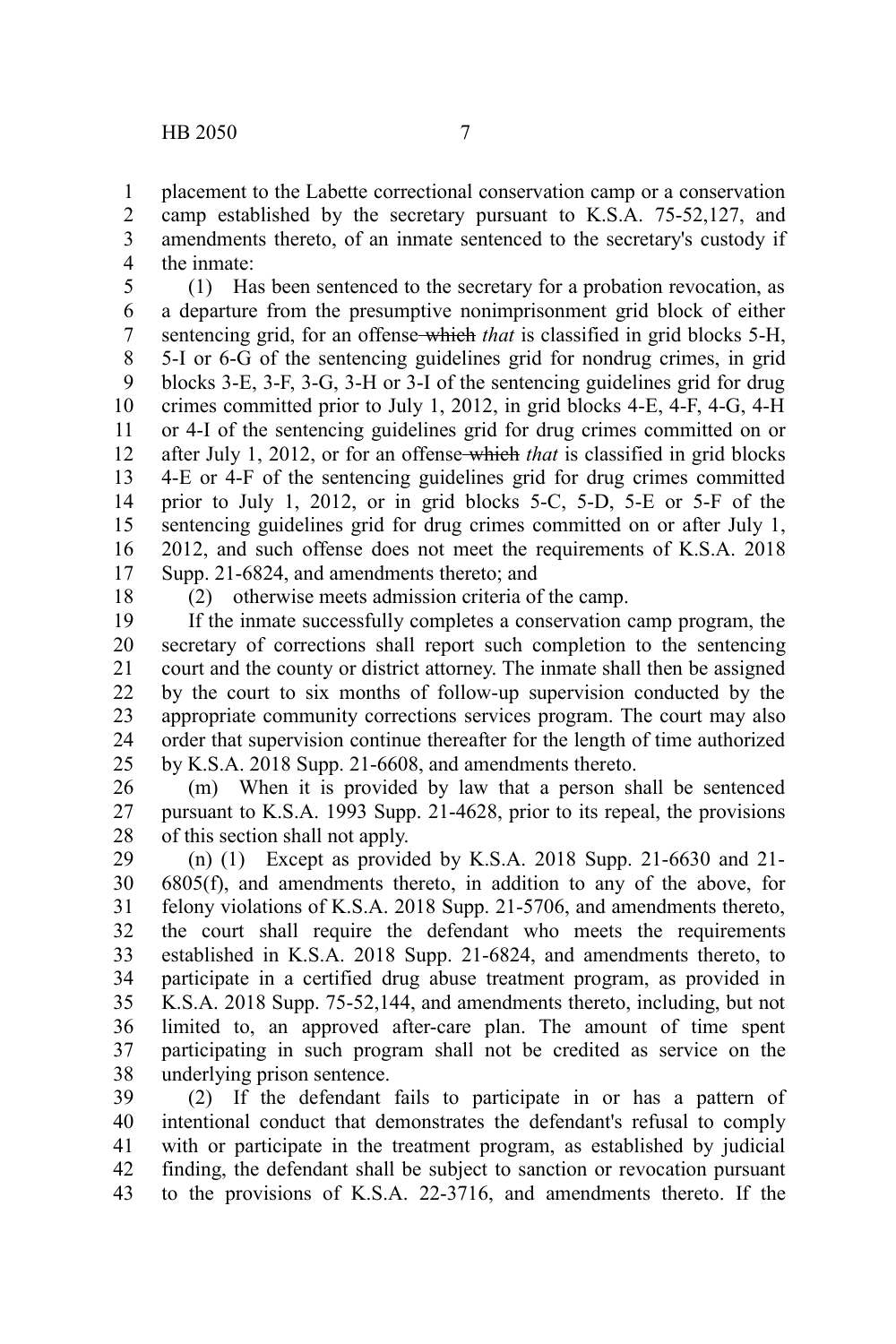placement to the Labette correctional conservation camp or a conservation camp established by the secretary pursuant to K.S.A. 75-52,127, and amendments thereto, of an inmate sentenced to the secretary's custody if the inmate: 1 2 3 4

(1) Has been sentenced to the secretary for a probation revocation, as a departure from the presumptive nonimprisonment grid block of either sentencing grid, for an offense which *that* is classified in grid blocks 5-H, 5-I or 6-G of the sentencing guidelines grid for nondrug crimes, in grid blocks 3-E, 3-F, 3-G, 3-H or 3-I of the sentencing guidelines grid for drug crimes committed prior to July 1, 2012, in grid blocks 4-E, 4-F, 4-G, 4-H or 4-I of the sentencing guidelines grid for drug crimes committed on or after July 1, 2012, or for an offense which *that* is classified in grid blocks 4-E or 4-F of the sentencing guidelines grid for drug crimes committed prior to July 1, 2012, or in grid blocks 5-C, 5-D, 5-E or 5-F of the sentencing guidelines grid for drug crimes committed on or after July 1, 2012, and such offense does not meet the requirements of K.S.A. 2018 Supp. 21-6824, and amendments thereto; and 5 6 7 8 9 10 11 12 13 14 15 16 17

18

(2) otherwise meets admission criteria of the camp.

If the inmate successfully completes a conservation camp program, the secretary of corrections shall report such completion to the sentencing court and the county or district attorney. The inmate shall then be assigned by the court to six months of follow-up supervision conducted by the appropriate community corrections services program. The court may also order that supervision continue thereafter for the length of time authorized by K.S.A. 2018 Supp. 21-6608, and amendments thereto. 19 20 21 22 23 24 25

(m) When it is provided by law that a person shall be sentenced pursuant to K.S.A. 1993 Supp. 21-4628, prior to its repeal, the provisions of this section shall not apply. 26 27 28

(n) (1) Except as provided by K.S.A. 2018 Supp. 21-6630 and 21- 6805(f), and amendments thereto, in addition to any of the above, for felony violations of K.S.A. 2018 Supp. 21-5706, and amendments thereto, the court shall require the defendant who meets the requirements established in K.S.A. 2018 Supp. 21-6824, and amendments thereto, to participate in a certified drug abuse treatment program, as provided in K.S.A. 2018 Supp. 75-52,144, and amendments thereto, including, but not limited to, an approved after-care plan. The amount of time spent participating in such program shall not be credited as service on the underlying prison sentence. 29 30 31 32 33 34 35 36 37 38

(2) If the defendant fails to participate in or has a pattern of intentional conduct that demonstrates the defendant's refusal to comply with or participate in the treatment program, as established by judicial finding, the defendant shall be subject to sanction or revocation pursuant to the provisions of K.S.A. 22-3716, and amendments thereto. If the 39 40 41 42 43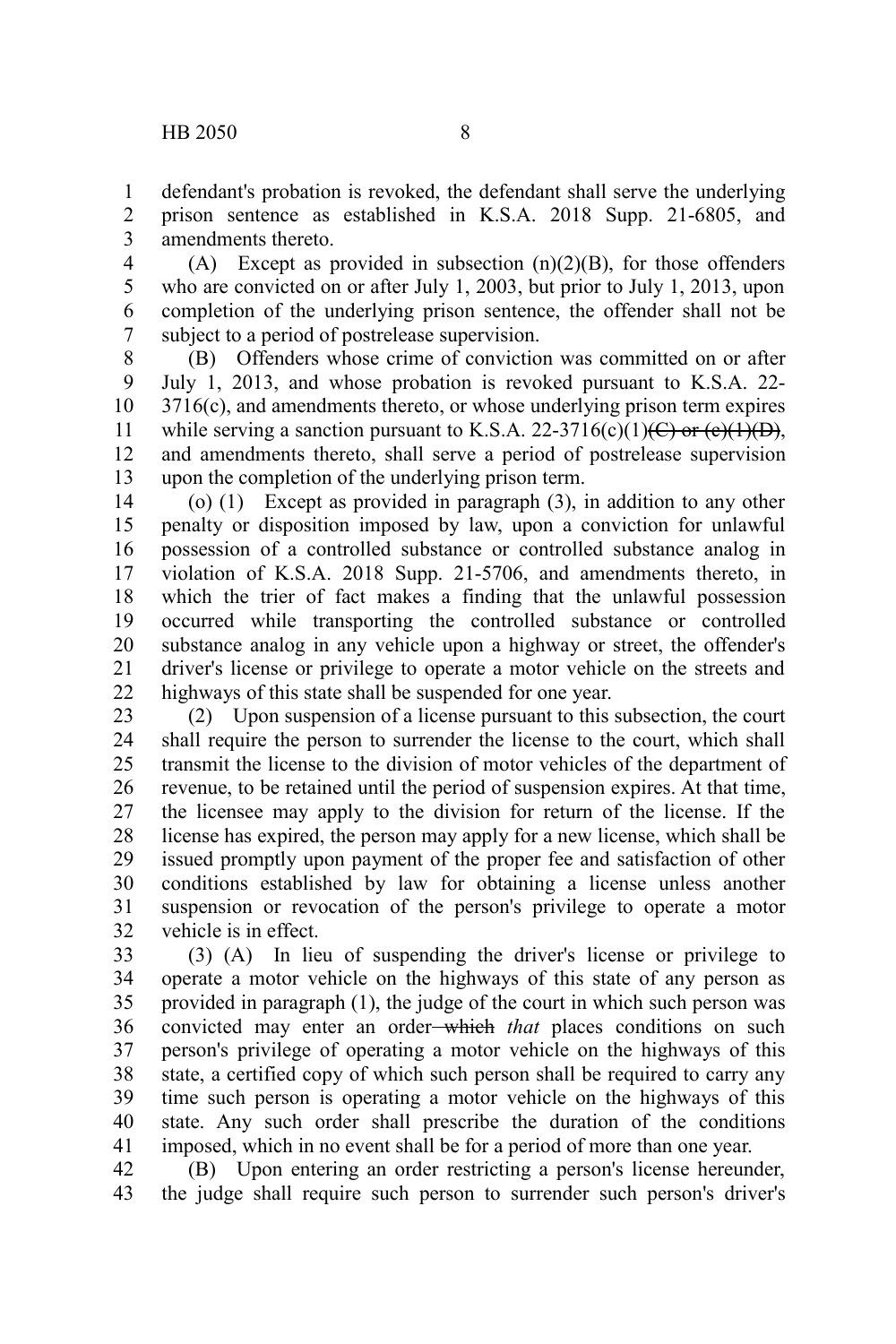defendant's probation is revoked, the defendant shall serve the underlying prison sentence as established in K.S.A. 2018 Supp. 21-6805, and amendments thereto. 1 2 3

(A) Except as provided in subsection  $(n)(2)(B)$ , for those offenders who are convicted on or after July 1, 2003, but prior to July 1, 2013, upon completion of the underlying prison sentence, the offender shall not be subject to a period of postrelease supervision. 4 5 6 7

(B) Offenders whose crime of conviction was committed on or after July 1, 2013, and whose probation is revoked pursuant to K.S.A. 22- 3716(c), and amendments thereto, or whose underlying prison term expires while serving a sanction pursuant to K.S.A. 22-3716(c)(1)(C) or (e)(1)(D), and amendments thereto, shall serve a period of postrelease supervision upon the completion of the underlying prison term. 8 9 10 11 12 13

(o) (1) Except as provided in paragraph (3), in addition to any other penalty or disposition imposed by law, upon a conviction for unlawful possession of a controlled substance or controlled substance analog in violation of K.S.A. 2018 Supp. 21-5706, and amendments thereto, in which the trier of fact makes a finding that the unlawful possession occurred while transporting the controlled substance or controlled substance analog in any vehicle upon a highway or street, the offender's driver's license or privilege to operate a motor vehicle on the streets and highways of this state shall be suspended for one year. 14 15 16 17 18 19 20 21 22

(2) Upon suspension of a license pursuant to this subsection, the court shall require the person to surrender the license to the court, which shall transmit the license to the division of motor vehicles of the department of revenue, to be retained until the period of suspension expires. At that time, the licensee may apply to the division for return of the license. If the license has expired, the person may apply for a new license, which shall be issued promptly upon payment of the proper fee and satisfaction of other conditions established by law for obtaining a license unless another suspension or revocation of the person's privilege to operate a motor vehicle is in effect. 23 24 25 26 27 28 29 30 31 32

(3) (A) In lieu of suspending the driver's license or privilege to operate a motor vehicle on the highways of this state of any person as provided in paragraph (1), the judge of the court in which such person was convicted may enter an order-which *that* places conditions on such person's privilege of operating a motor vehicle on the highways of this state, a certified copy of which such person shall be required to carry any time such person is operating a motor vehicle on the highways of this state. Any such order shall prescribe the duration of the conditions imposed, which in no event shall be for a period of more than one year. 33 34 35 36 37 38 39 40 41

(B) Upon entering an order restricting a person's license hereunder, the judge shall require such person to surrender such person's driver's 42 43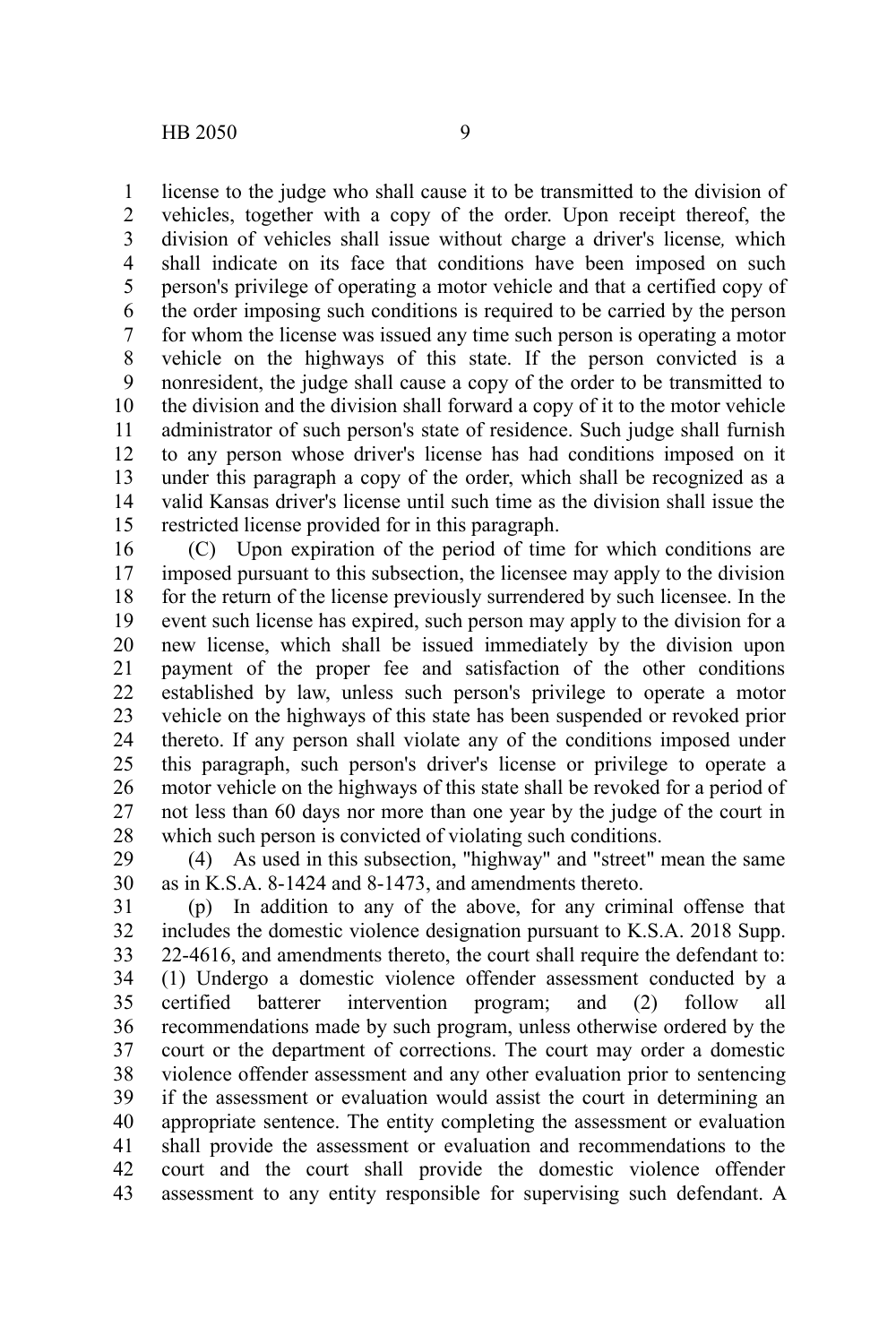license to the judge who shall cause it to be transmitted to the division of vehicles, together with a copy of the order. Upon receipt thereof, the division of vehicles shall issue without charge a driver's license*,* which shall indicate on its face that conditions have been imposed on such person's privilege of operating a motor vehicle and that a certified copy of the order imposing such conditions is required to be carried by the person for whom the license was issued any time such person is operating a motor vehicle on the highways of this state. If the person convicted is a nonresident, the judge shall cause a copy of the order to be transmitted to the division and the division shall forward a copy of it to the motor vehicle administrator of such person's state of residence. Such judge shall furnish to any person whose driver's license has had conditions imposed on it under this paragraph a copy of the order, which shall be recognized as a valid Kansas driver's license until such time as the division shall issue the restricted license provided for in this paragraph. 1 2 3 4 5 6 7 8 9 10 11 12 13 14 15

(C) Upon expiration of the period of time for which conditions are imposed pursuant to this subsection, the licensee may apply to the division for the return of the license previously surrendered by such licensee. In the event such license has expired, such person may apply to the division for a new license, which shall be issued immediately by the division upon payment of the proper fee and satisfaction of the other conditions established by law, unless such person's privilege to operate a motor vehicle on the highways of this state has been suspended or revoked prior thereto. If any person shall violate any of the conditions imposed under this paragraph, such person's driver's license or privilege to operate a motor vehicle on the highways of this state shall be revoked for a period of not less than 60 days nor more than one year by the judge of the court in which such person is convicted of violating such conditions. 16 17 18 19 20 21 22 23 24 25 26 27 28

(4) As used in this subsection, "highway" and "street" mean the same as in K.S.A. 8-1424 and 8-1473, and amendments thereto. 29 30

(p) In addition to any of the above, for any criminal offense that includes the domestic violence designation pursuant to K.S.A. 2018 Supp. 22-4616, and amendments thereto, the court shall require the defendant to: (1) Undergo a domestic violence offender assessment conducted by a certified batterer intervention program; and (2) follow all recommendations made by such program, unless otherwise ordered by the court or the department of corrections. The court may order a domestic violence offender assessment and any other evaluation prior to sentencing if the assessment or evaluation would assist the court in determining an appropriate sentence. The entity completing the assessment or evaluation shall provide the assessment or evaluation and recommendations to the court and the court shall provide the domestic violence offender assessment to any entity responsible for supervising such defendant. A 31 32 33 34 35 36 37 38 39 40 41 42 43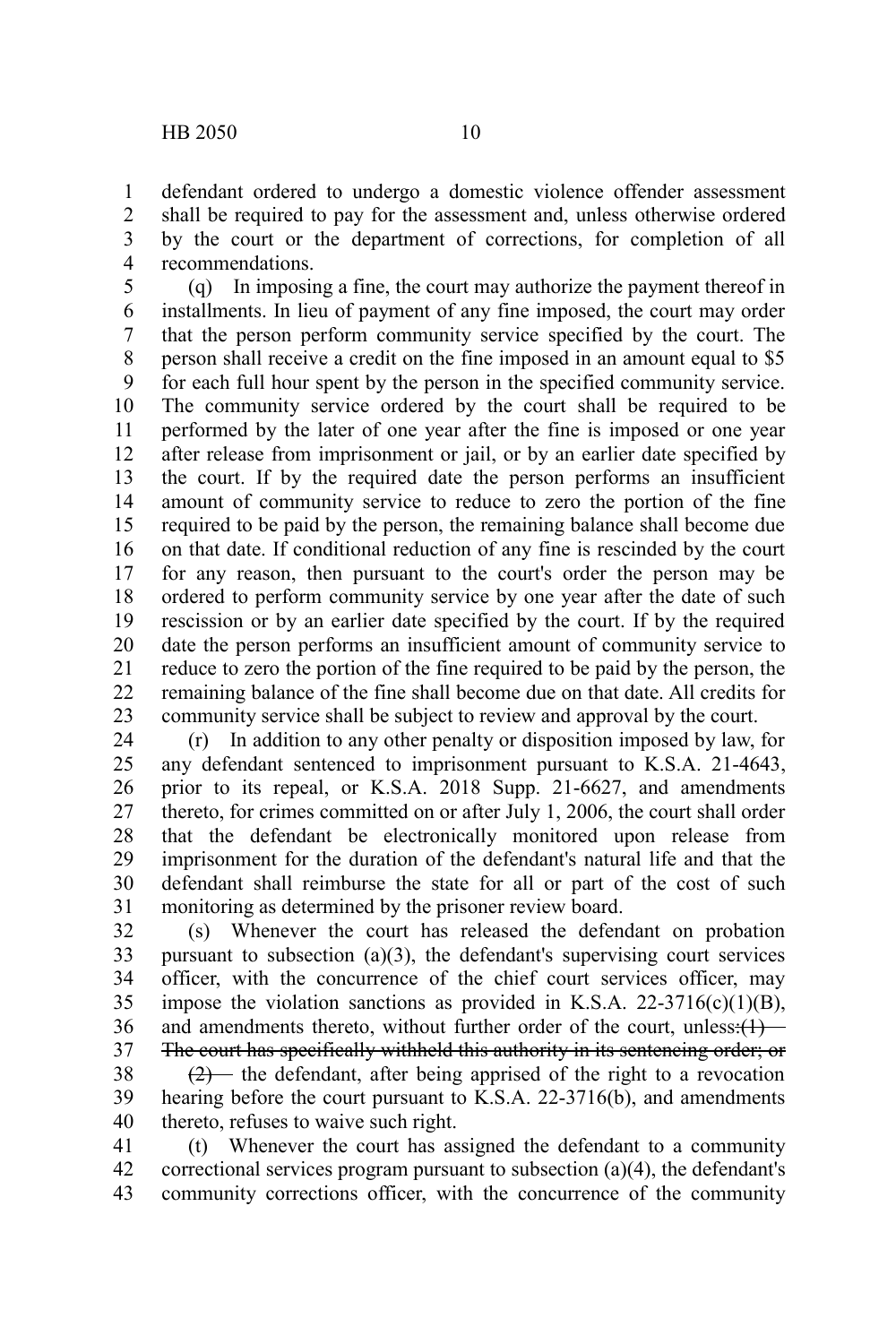defendant ordered to undergo a domestic violence offender assessment shall be required to pay for the assessment and, unless otherwise ordered by the court or the department of corrections, for completion of all recommendations. 1 2 3 4

(q) In imposing a fine, the court may authorize the payment thereof in installments. In lieu of payment of any fine imposed, the court may order that the person perform community service specified by the court. The person shall receive a credit on the fine imposed in an amount equal to \$5 for each full hour spent by the person in the specified community service. The community service ordered by the court shall be required to be performed by the later of one year after the fine is imposed or one year after release from imprisonment or jail, or by an earlier date specified by the court. If by the required date the person performs an insufficient amount of community service to reduce to zero the portion of the fine required to be paid by the person, the remaining balance shall become due on that date. If conditional reduction of any fine is rescinded by the court for any reason, then pursuant to the court's order the person may be ordered to perform community service by one year after the date of such rescission or by an earlier date specified by the court. If by the required date the person performs an insufficient amount of community service to reduce to zero the portion of the fine required to be paid by the person, the remaining balance of the fine shall become due on that date. All credits for community service shall be subject to review and approval by the court. 5 6 7 8 9 10 11 12 13 14 15 16 17 18 19 20 21 22 23

(r) In addition to any other penalty or disposition imposed by law, for any defendant sentenced to imprisonment pursuant to K.S.A. 21-4643, prior to its repeal, or K.S.A. 2018 Supp. 21-6627, and amendments thereto, for crimes committed on or after July 1, 2006, the court shall order that the defendant be electronically monitored upon release from imprisonment for the duration of the defendant's natural life and that the defendant shall reimburse the state for all or part of the cost of such monitoring as determined by the prisoner review board. 24 25 26 27 28 29 30 31

(s) Whenever the court has released the defendant on probation pursuant to subsection (a)(3), the defendant's supervising court services officer, with the concurrence of the chief court services officer, may impose the violation sanctions as provided in K.S.A.  $22-3716(c)(1)(B)$ , and amendments thereto, without further order of the court, unless: $(1)$ The court has specifically withheld this authority in its sentencing order; or 32 33 34 35 36 37

 $(2)$  the defendant, after being apprised of the right to a revocation hearing before the court pursuant to K.S.A. 22-3716(b), and amendments thereto, refuses to waive such right. 38 39 40

(t) Whenever the court has assigned the defendant to a community correctional services program pursuant to subsection (a)(4), the defendant's community corrections officer, with the concurrence of the community 41 42 43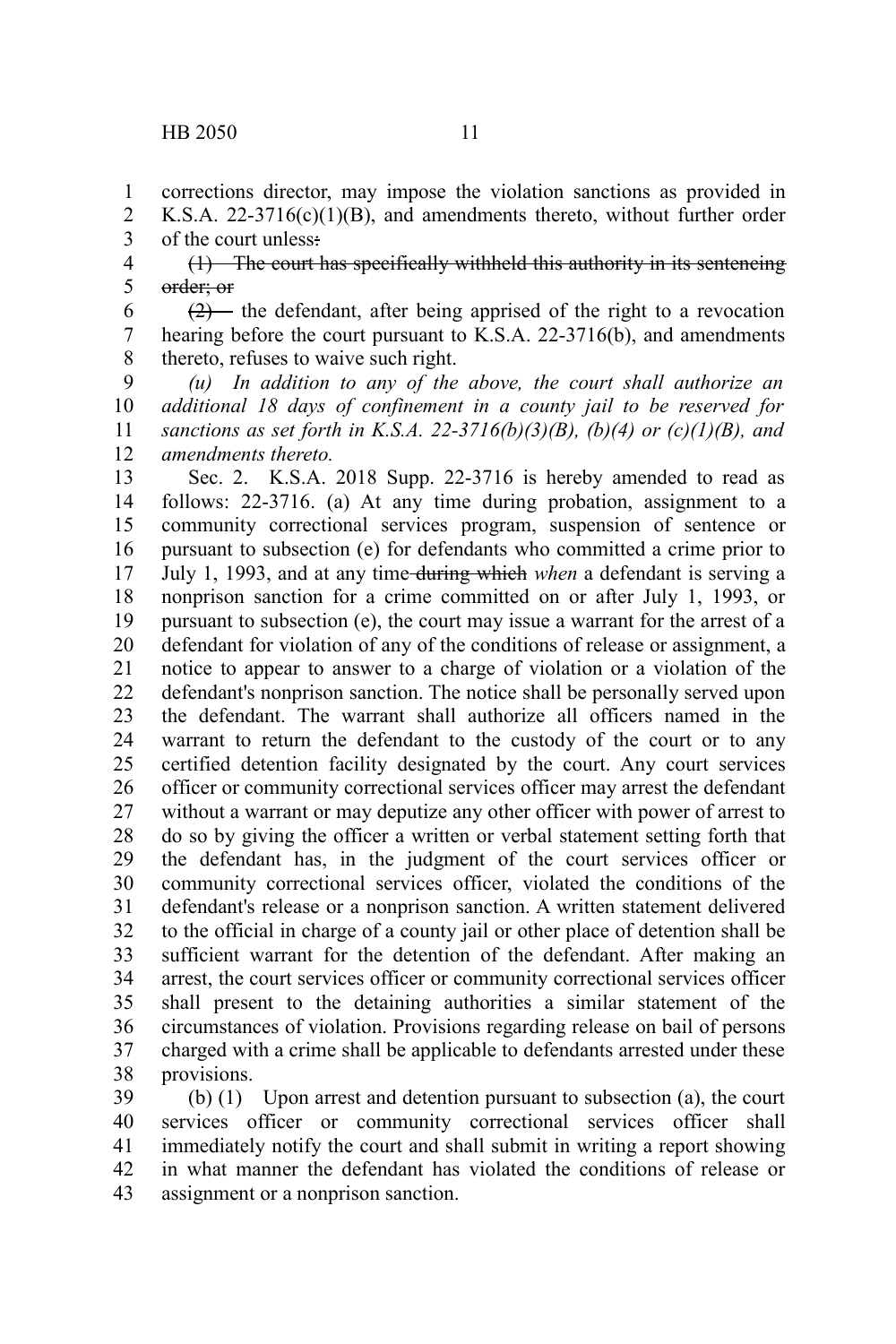corrections director, may impose the violation sanctions as provided in K.S.A. 22-3716(c)(1)(B), and amendments thereto, without further order of the court unless: 1 2 3

(1) The court has specifically withheld this authority in its sentencing order; or 4 5

 $(2)$ — the defendant, after being apprised of the right to a revocation hearing before the court pursuant to K.S.A. 22-3716(b), and amendments thereto, refuses to waive such right. 6 7 8

*(u) In addition to any of the above, the court shall authorize an additional 18 days of confinement in a county jail to be reserved for sanctions as set forth in K.S.A. 22-3716(b)(3)(B), (b)(4) or (c)(1)(B), and amendments thereto.* 9 10 11 12

Sec. 2. K.S.A. 2018 Supp. 22-3716 is hereby amended to read as follows: 22-3716. (a) At any time during probation, assignment to a community correctional services program, suspension of sentence or pursuant to subsection (e) for defendants who committed a crime prior to July 1, 1993, and at any time during which *when* a defendant is serving a nonprison sanction for a crime committed on or after July 1, 1993, or pursuant to subsection (e), the court may issue a warrant for the arrest of a defendant for violation of any of the conditions of release or assignment, a notice to appear to answer to a charge of violation or a violation of the defendant's nonprison sanction. The notice shall be personally served upon the defendant. The warrant shall authorize all officers named in the warrant to return the defendant to the custody of the court or to any certified detention facility designated by the court. Any court services officer or community correctional services officer may arrest the defendant without a warrant or may deputize any other officer with power of arrest to do so by giving the officer a written or verbal statement setting forth that the defendant has, in the judgment of the court services officer or community correctional services officer, violated the conditions of the defendant's release or a nonprison sanction. A written statement delivered to the official in charge of a county jail or other place of detention shall be sufficient warrant for the detention of the defendant. After making an arrest, the court services officer or community correctional services officer shall present to the detaining authorities a similar statement of the circumstances of violation. Provisions regarding release on bail of persons charged with a crime shall be applicable to defendants arrested under these provisions. 13 14 15 16 17 18 19 20 21 22 23 24 25 26 27 28 29 30 31 32 33 34 35 36 37 38

(b) (1) Upon arrest and detention pursuant to subsection (a), the court services officer or community correctional services officer shall immediately notify the court and shall submit in writing a report showing in what manner the defendant has violated the conditions of release or assignment or a nonprison sanction. 39 40 41 42 43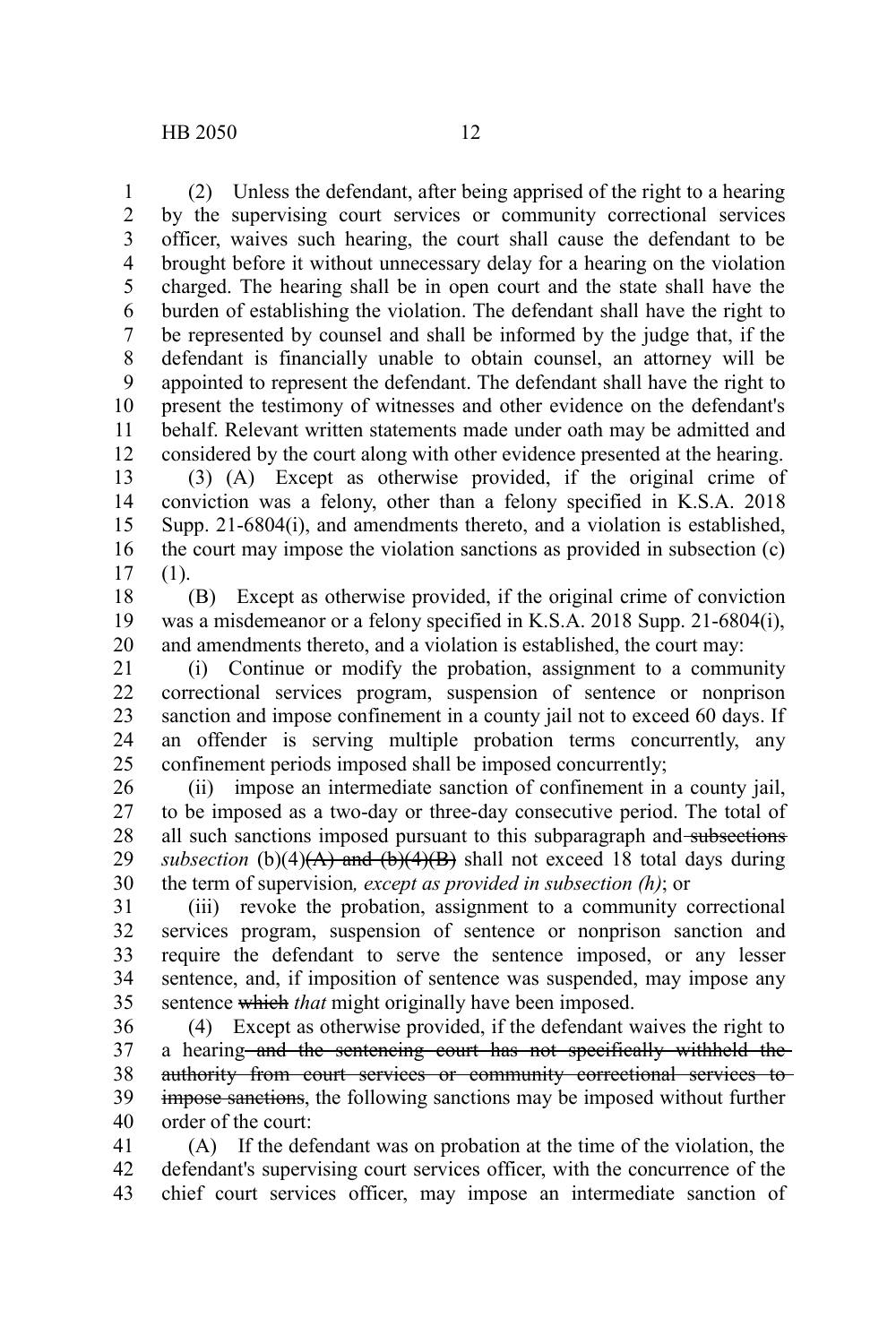(2) Unless the defendant, after being apprised of the right to a hearing by the supervising court services or community correctional services officer, waives such hearing, the court shall cause the defendant to be brought before it without unnecessary delay for a hearing on the violation charged. The hearing shall be in open court and the state shall have the burden of establishing the violation. The defendant shall have the right to be represented by counsel and shall be informed by the judge that, if the defendant is financially unable to obtain counsel, an attorney will be appointed to represent the defendant. The defendant shall have the right to present the testimony of witnesses and other evidence on the defendant's behalf. Relevant written statements made under oath may be admitted and considered by the court along with other evidence presented at the hearing. 1 2 3 4 5 6 7 8 9 10 11 12

(3) (A) Except as otherwise provided, if the original crime of conviction was a felony, other than a felony specified in K.S.A. 2018 Supp. 21-6804(i), and amendments thereto, and a violation is established, the court may impose the violation sanctions as provided in subsection (c) (1). 13 14 15 16 17

(B) Except as otherwise provided, if the original crime of conviction was a misdemeanor or a felony specified in K.S.A. 2018 Supp. 21-6804(i), and amendments thereto, and a violation is established, the court may: 18 19 20

(i) Continue or modify the probation, assignment to a community correctional services program, suspension of sentence or nonprison sanction and impose confinement in a county jail not to exceed 60 days. If an offender is serving multiple probation terms concurrently, any confinement periods imposed shall be imposed concurrently; 21 22 23 24 25

(ii) impose an intermediate sanction of confinement in a county jail, to be imposed as a two-day or three-day consecutive period. The total of all such sanctions imposed pursuant to this subparagraph and subsections *subsection* (b)(4) $(A)$  and  $(b)(4)(B)$  shall not exceed 18 total days during the term of supervision*, except as provided in subsection (h)*; or 26 27 28 29 30

(iii) revoke the probation, assignment to a community correctional services program, suspension of sentence or nonprison sanction and require the defendant to serve the sentence imposed, or any lesser sentence, and, if imposition of sentence was suspended, may impose any sentence which *that* might originally have been imposed. 31 32 33 34 35

(4) Except as otherwise provided, if the defendant waives the right to a hearing and the sentencing court has not specifically withheld the authority from court services or community correctional services to impose sanctions, the following sanctions may be imposed without further order of the court: 36 37 38 39 40

(A) If the defendant was on probation at the time of the violation, the defendant's supervising court services officer, with the concurrence of the chief court services officer, may impose an intermediate sanction of 41 42 43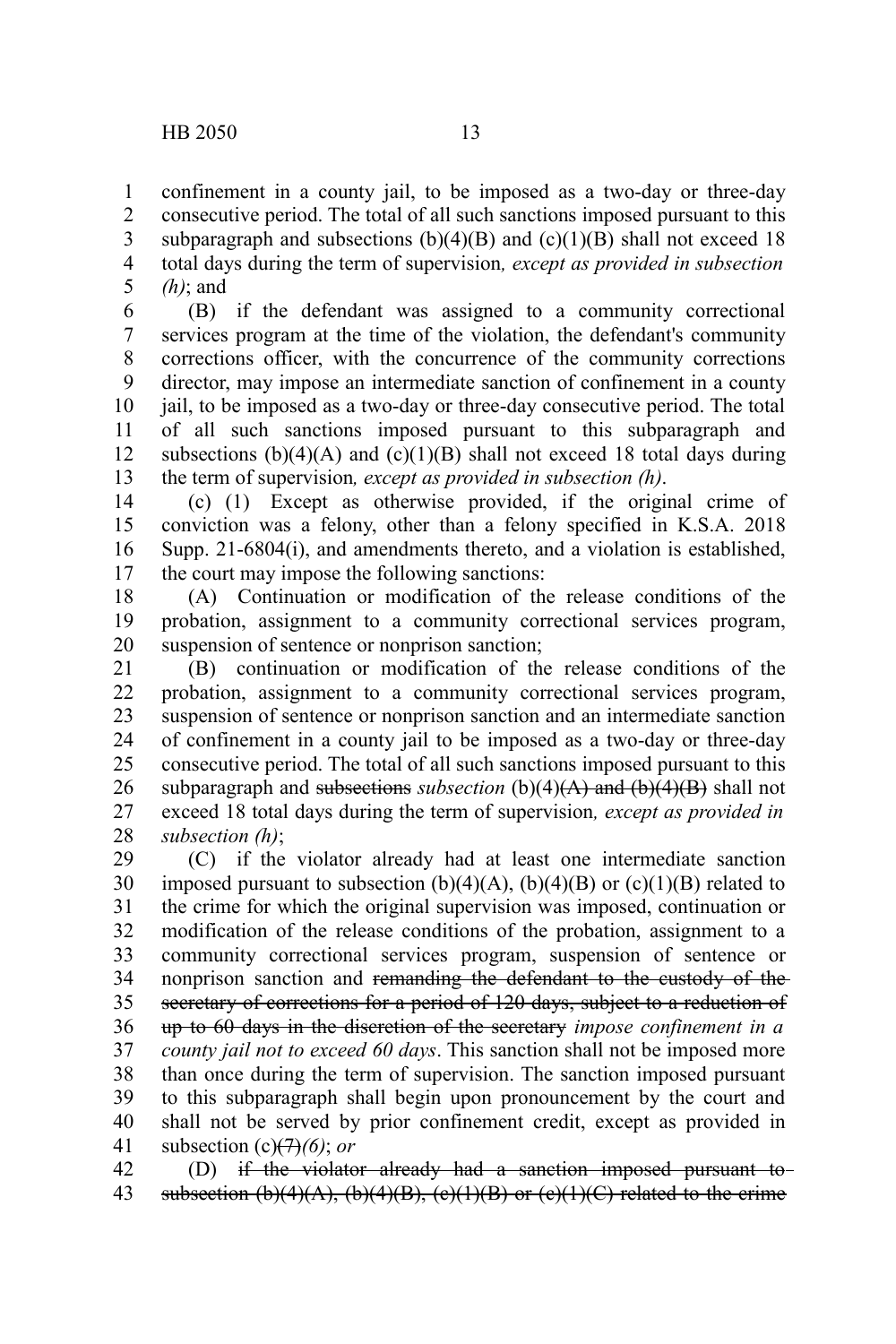confinement in a county jail, to be imposed as a two-day or three-day consecutive period. The total of all such sanctions imposed pursuant to this subparagraph and subsections  $(b)(4)(B)$  and  $(c)(1)(B)$  shall not exceed 18 total days during the term of supervision*, except as provided in subsection (h)*; and 1 2 3 4 5

(B) if the defendant was assigned to a community correctional services program at the time of the violation, the defendant's community corrections officer, with the concurrence of the community corrections director, may impose an intermediate sanction of confinement in a county jail, to be imposed as a two-day or three-day consecutive period. The total of all such sanctions imposed pursuant to this subparagraph and subsections  $(b)(4)(A)$  and  $(c)(1)(B)$  shall not exceed 18 total days during the term of supervision*, except as provided in subsection (h)*. 6 7 8 9 10 11 12 13

(c) (1) Except as otherwise provided, if the original crime of conviction was a felony, other than a felony specified in K.S.A. 2018 Supp. 21-6804(i), and amendments thereto, and a violation is established, the court may impose the following sanctions: 14 15 16 17

(A) Continuation or modification of the release conditions of the probation, assignment to a community correctional services program, suspension of sentence or nonprison sanction; 18 19 20

(B) continuation or modification of the release conditions of the probation, assignment to a community correctional services program, suspension of sentence or nonprison sanction and an intermediate sanction of confinement in a county jail to be imposed as a two-day or three-day consecutive period. The total of all such sanctions imposed pursuant to this subparagraph and subsections *subsection* (b)(4)(A) and (b)(4)(B) shall not exceed 18 total days during the term of supervision*, except as provided in subsection (h)*; 21 22 23 24 25 26 27 28

(C) if the violator already had at least one intermediate sanction imposed pursuant to subsection  $(b)(4)(A)$ ,  $(b)(4)(B)$  or  $(c)(1)(B)$  related to the crime for which the original supervision was imposed, continuation or modification of the release conditions of the probation, assignment to a community correctional services program, suspension of sentence or nonprison sanction and remanding the defendant to the custody of the secretary of corrections for a period of 120 days, subject to a reduction of up to 60 days in the discretion of the secretary *impose confinement in a county jail not to exceed 60 days*. This sanction shall not be imposed more than once during the term of supervision. The sanction imposed pursuant to this subparagraph shall begin upon pronouncement by the court and shall not be served by prior confinement credit, except as provided in subsection (c)(7)*(6)*; *or* 29 30 31 32 33 34 35 36 37 38 39 40 41

(D) if the violator already had a sanction imposed pursuant to subsection (b)(4)(A), (b)(4)(B), (c)(1)(B) or (c)(1)(C) related to the crime 42 43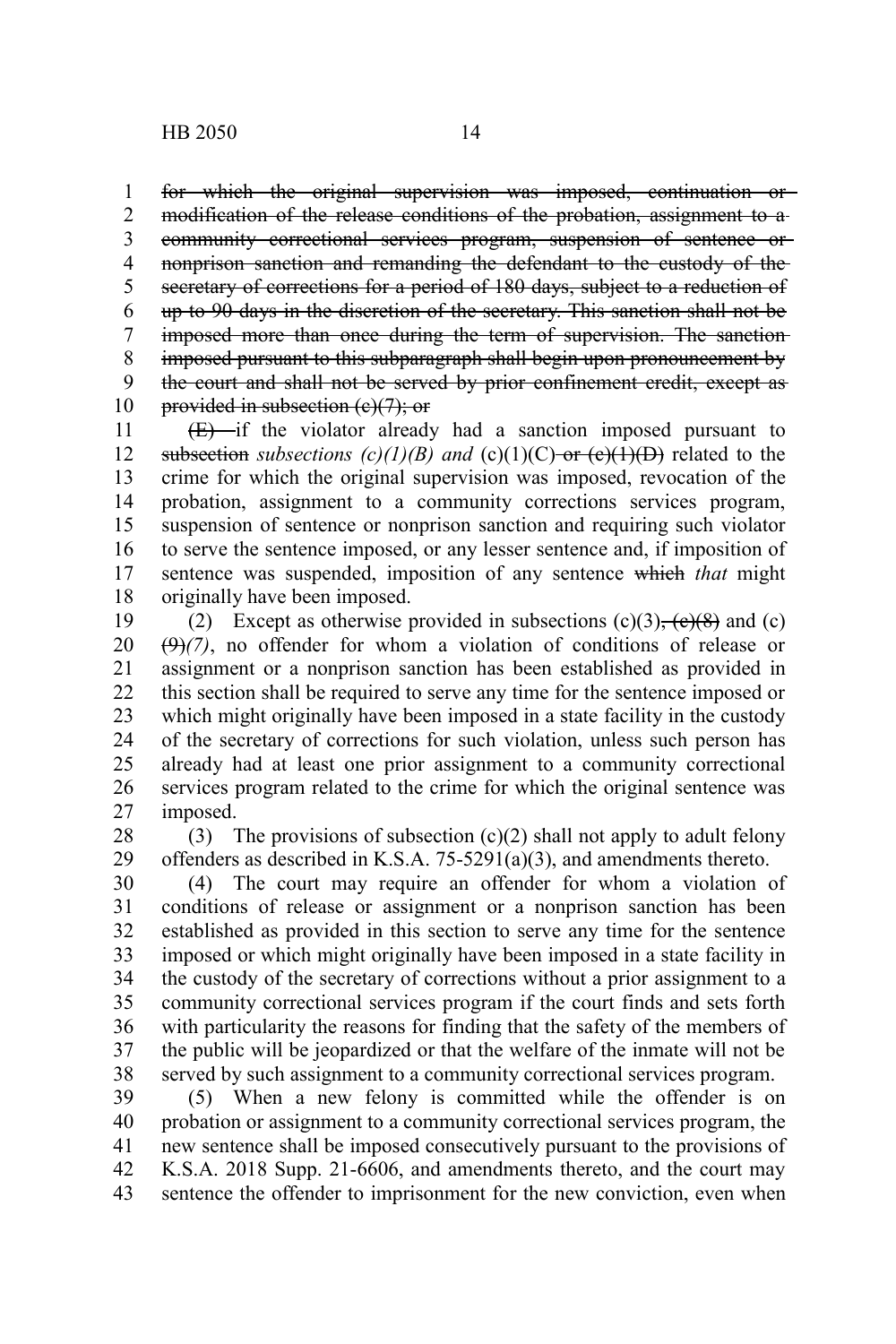for which the original supervision was imposed, continuation or 1

modification of the release conditions of the probation, assignment to a community correctional services program, suspension of sentence or nonprison sanction and remanding the defendant to the custody of the secretary of corrections for a period of 180 days, subject to a reduction of up to 90 days in the discretion of the secretary. This sanction shall not be imposed more than once during the term of supervision. The sanction imposed pursuant to this subparagraph shall begin upon pronouncement by the court and shall not be served by prior confinement credit, except as provided in subsection (e)(7); or 2 3 4 5 6 7 8 9 10

 $(E)$  if the violator already had a sanction imposed pursuant to subsection *subsections*  $(c)(1)(B)$  and  $(c)(1)(C)$  or  $(c)(1)(D)$  related to the crime for which the original supervision was imposed, revocation of the probation, assignment to a community corrections services program, suspension of sentence or nonprison sanction and requiring such violator to serve the sentence imposed, or any lesser sentence and, if imposition of sentence was suspended, imposition of any sentence which *that* might originally have been imposed. 11 12 13 14 15 16 17 18

(2) Except as otherwise provided in subsections  $(c)(3)$ ,  $(c)(8)$  and  $(c)$  $(9)$  $(7)$ , no offender for whom a violation of conditions of release or assignment or a nonprison sanction has been established as provided in this section shall be required to serve any time for the sentence imposed or which might originally have been imposed in a state facility in the custody of the secretary of corrections for such violation, unless such person has already had at least one prior assignment to a community correctional services program related to the crime for which the original sentence was imposed. 19 20 21 22 23 24 25 26 27

(3) The provisions of subsection  $(c)(2)$  shall not apply to adult felony offenders as described in K.S.A. 75-5291(a)(3), and amendments thereto. 28 29

(4) The court may require an offender for whom a violation of conditions of release or assignment or a nonprison sanction has been established as provided in this section to serve any time for the sentence imposed or which might originally have been imposed in a state facility in the custody of the secretary of corrections without a prior assignment to a community correctional services program if the court finds and sets forth with particularity the reasons for finding that the safety of the members of the public will be jeopardized or that the welfare of the inmate will not be served by such assignment to a community correctional services program. 30 31 32 33 34 35 36 37 38

(5) When a new felony is committed while the offender is on probation or assignment to a community correctional services program, the new sentence shall be imposed consecutively pursuant to the provisions of K.S.A. 2018 Supp. 21-6606, and amendments thereto, and the court may sentence the offender to imprisonment for the new conviction, even when 39 40 41 42 43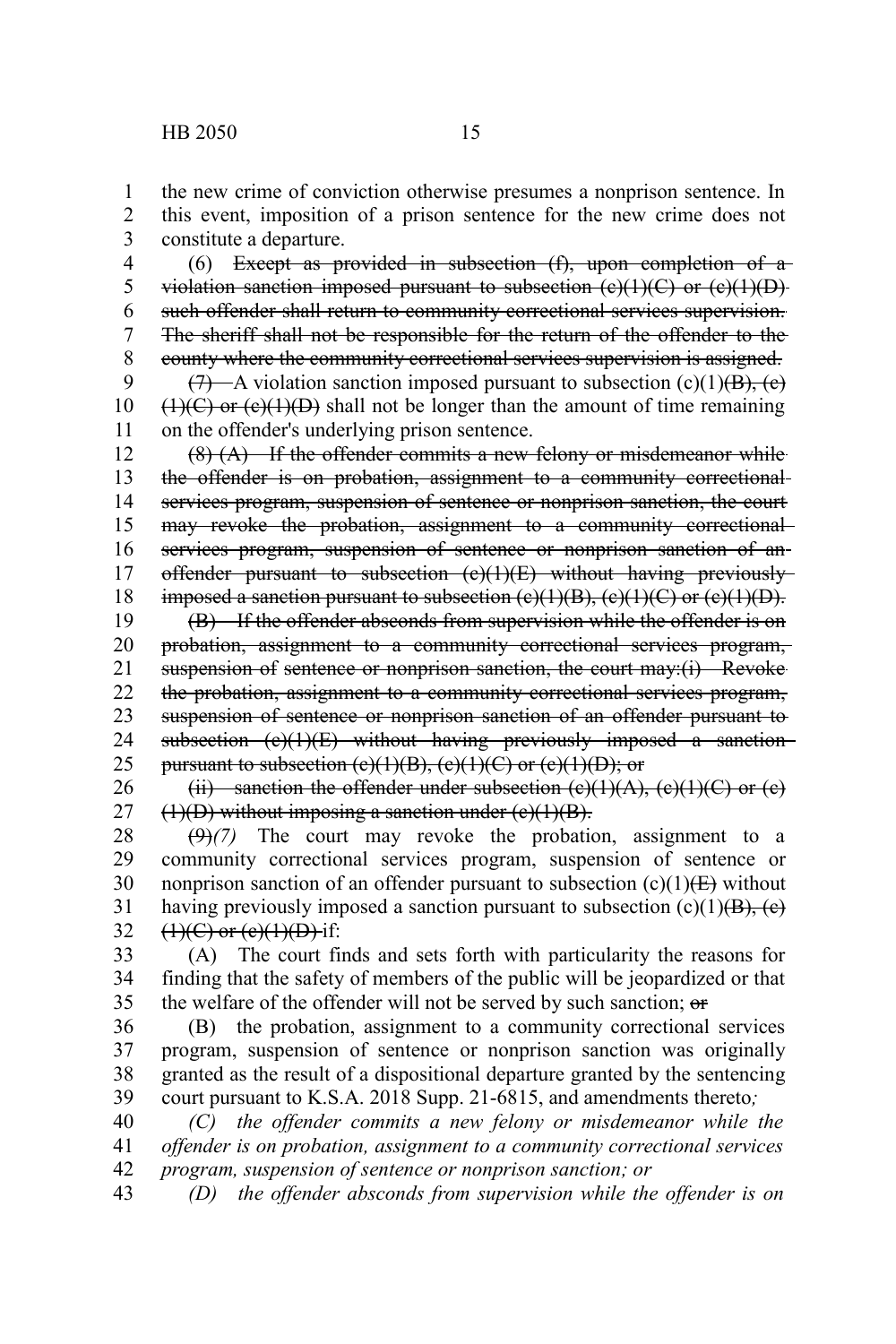the new crime of conviction otherwise presumes a nonprison sentence. In this event, imposition of a prison sentence for the new crime does not constitute a departure. 1 2 3

(6) Except as provided in subsection (f), upon completion of a violation sanction imposed pursuant to subsection  $(e)(1)(C)$  or  $(e)(1)(D)$ such offender shall return to community correctional services supervision. The sheriff shall not be responsible for the return of the offender to the county where the community correctional services supervision is assigned. 4 5 6 7 8

 $(7)$ —A violation sanction imposed pursuant to subsection (c)(1)(B), (e)  $(1)(C)$  or  $(e)(1)(D)$  shall not be longer than the amount of time remaining on the offender's underlying prison sentence. 9 10 11

 $(8)$   $(A)$  If the offender commits a new felony or misdemeanor while the offender is on probation, assignment to a community correctionalservices program, suspension of sentence or nonprison sanction, the court may revoke the probation, assignment to a community correctionalservices program, suspension of sentence or nonprison sanction of anoffender pursuant to subsection (c)(1)(E) without having previously imposed a sanction pursuant to subsection  $(e)(1)(B)$ ,  $(e)(1)(C)$  or  $(e)(1)(D)$ . 12 13 14 15 16 17 18

(B) If the offender absconds from supervision while the offender is on probation, assignment to a community correctional services program, suspension of sentence or nonprison sanction, the court may:(i) Revoke the probation, assignment to a community correctional services program, suspension of sentence or nonprison sanction of an offender pursuant to subsection (c)(1)(E) without having previously imposed a sanctionpursuant to subsection  $(e)(1)(B)$ ,  $(e)(1)(C)$  or  $(e)(1)(D)$ ; or 19 20 21 22 23 24 25

(ii) sanction the offender under subsection  $(e)(1)(A)$ ,  $(e)(1)(C)$  or  $(e)$  $(1)(D)$  without imposing a sanction under  $(e)(1)(B)$ . 26 27

(9)*(7)* The court may revoke the probation, assignment to a community correctional services program, suspension of sentence or nonprison sanction of an offender pursuant to subsection  $(c)(1)$ ( $\overline{E}$ ) without having previously imposed a sanction pursuant to subsection  $(c)(1)(B)$ ,  $(c)$  $(1)(C)$  or  $(e)(1)(D)$  if: 28 29 30 31 32

(A) The court finds and sets forth with particularity the reasons for finding that the safety of members of the public will be jeopardized or that the welfare of the offender will not be served by such sanction; or 33 34 35

(B) the probation, assignment to a community correctional services program, suspension of sentence or nonprison sanction was originally granted as the result of a dispositional departure granted by the sentencing court pursuant to K.S.A. 2018 Supp. 21-6815, and amendments thereto*;* 36 37 38 39

*(C) the offender commits a new felony or misdemeanor while the offender is on probation, assignment to a community correctional services program, suspension of sentence or nonprison sanction; or* 40 41 42

*(D) the offender absconds from supervision while the offender is on* 43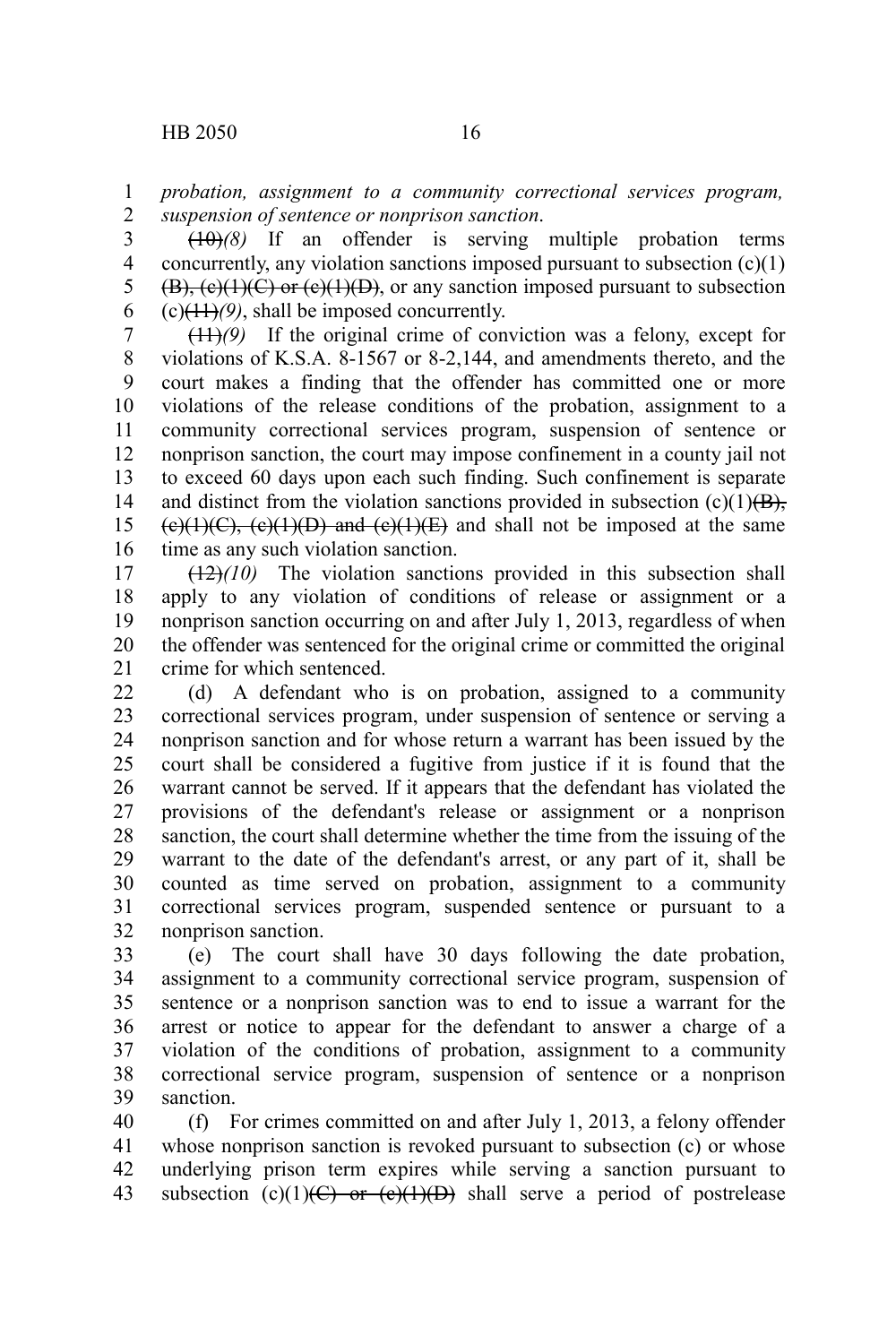*probation, assignment to a community correctional services program, suspension of sentence or nonprison sanction*. 1 2

 $(10)(8)$  If an offender is serving multiple probation terms concurrently, any violation sanctions imposed pursuant to subsection  $(c)(1)$  $(B)$ ,  $(c)(1)(C)$  or  $(c)(1)(D)$ , or any sanction imposed pursuant to subsection (c)(11)*(9)*, shall be imposed concurrently. 3 4 5 6

(11)*(9)* If the original crime of conviction was a felony, except for violations of K.S.A. 8-1567 or 8-2,144, and amendments thereto, and the court makes a finding that the offender has committed one or more violations of the release conditions of the probation, assignment to a community correctional services program, suspension of sentence or nonprison sanction, the court may impose confinement in a county jail not to exceed 60 days upon each such finding. Such confinement is separate and distinct from the violation sanctions provided in subsection  $(c)(1)(B)$ ,  $(e)(1)(C)$ ,  $(e)(1)(D)$  and  $(e)(1)(E)$  and shall not be imposed at the same time as any such violation sanction. 7 8 9 10 11 12 13 14 15 16

(12)*(10)* The violation sanctions provided in this subsection shall apply to any violation of conditions of release or assignment or a nonprison sanction occurring on and after July 1, 2013, regardless of when the offender was sentenced for the original crime or committed the original crime for which sentenced. 17 18 19 20 21

(d) A defendant who is on probation, assigned to a community correctional services program, under suspension of sentence or serving a nonprison sanction and for whose return a warrant has been issued by the court shall be considered a fugitive from justice if it is found that the warrant cannot be served. If it appears that the defendant has violated the provisions of the defendant's release or assignment or a nonprison sanction, the court shall determine whether the time from the issuing of the warrant to the date of the defendant's arrest, or any part of it, shall be counted as time served on probation, assignment to a community correctional services program, suspended sentence or pursuant to a nonprison sanction. 22 23 24 25 26 27 28 29 30 31 32

(e) The court shall have 30 days following the date probation, assignment to a community correctional service program, suspension of sentence or a nonprison sanction was to end to issue a warrant for the arrest or notice to appear for the defendant to answer a charge of a violation of the conditions of probation, assignment to a community correctional service program, suspension of sentence or a nonprison sanction. 33 34 35 36 37 38 39

(f) For crimes committed on and after July 1, 2013, a felony offender whose nonprison sanction is revoked pursuant to subsection (c) or whose underlying prison term expires while serving a sanction pursuant to subsection (c)(1)(C) or (e)(1)(D) shall serve a period of postrelease 40 41 42 43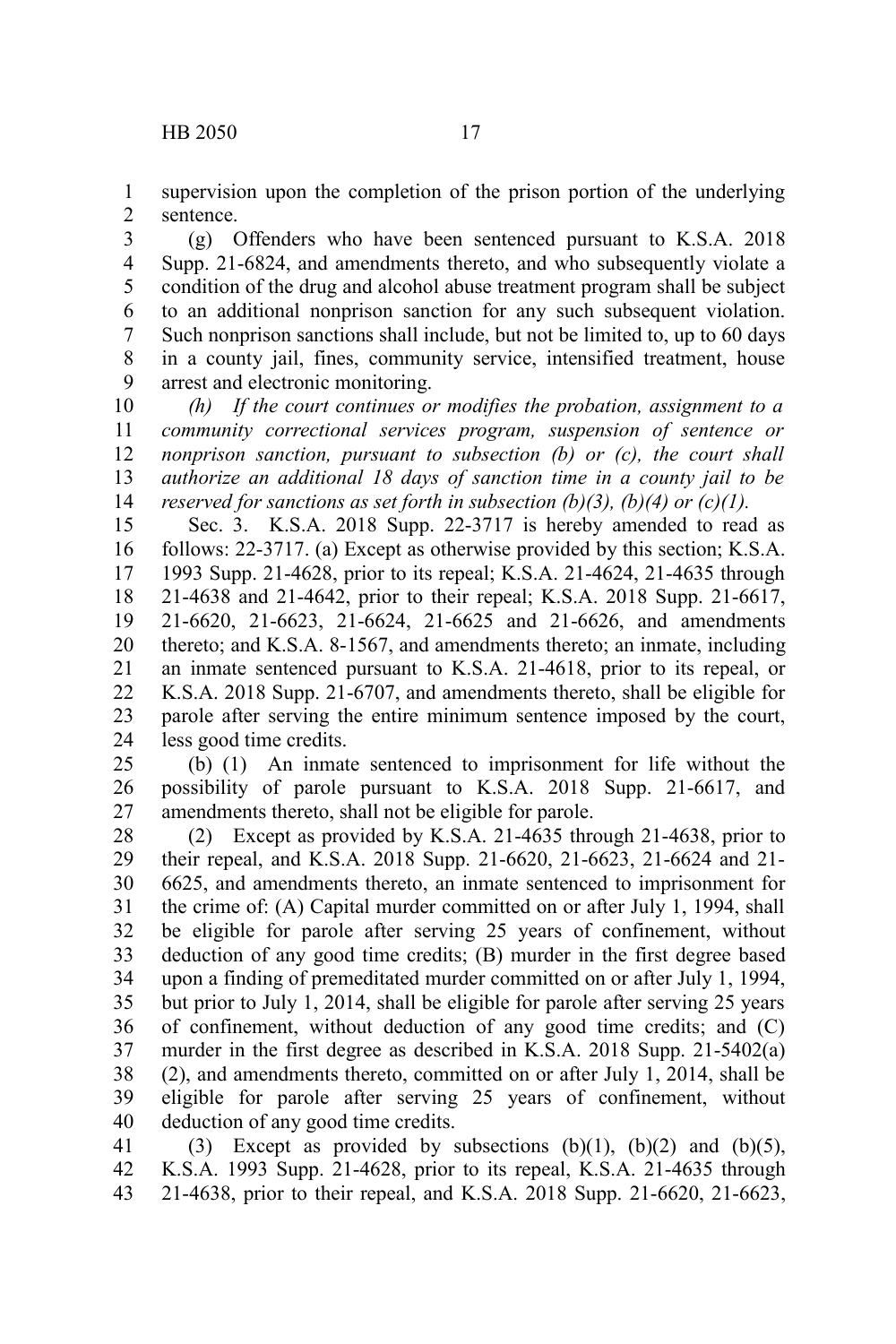supervision upon the completion of the prison portion of the underlying sentence. 1 2

(g) Offenders who have been sentenced pursuant to K.S.A. 2018 Supp. 21-6824, and amendments thereto, and who subsequently violate a condition of the drug and alcohol abuse treatment program shall be subject to an additional nonprison sanction for any such subsequent violation. Such nonprison sanctions shall include, but not be limited to, up to 60 days in a county jail, fines, community service, intensified treatment, house arrest and electronic monitoring. 3 4 5 6 7 8 9

*(h) If the court continues or modifies the probation, assignment to a community correctional services program, suspension of sentence or nonprison sanction, pursuant to subsection (b) or (c), the court shall authorize an additional 18 days of sanction time in a county jail to be reserved for sanctions as set forth in subsection (b)(3), (b)(4) or (c)(1).* 10 11 12 13 14

Sec. 3. K.S.A. 2018 Supp. 22-3717 is hereby amended to read as follows: 22-3717. (a) Except as otherwise provided by this section; K.S.A. 1993 Supp. 21-4628, prior to its repeal; K.S.A. 21-4624, 21-4635 through 21-4638 and 21-4642, prior to their repeal; K.S.A. 2018 Supp. 21-6617, 21-6620, 21-6623, 21-6624, 21-6625 and 21-6626, and amendments thereto; and K.S.A. 8-1567, and amendments thereto; an inmate, including an inmate sentenced pursuant to K.S.A. 21-4618, prior to its repeal, or K.S.A. 2018 Supp. 21-6707, and amendments thereto, shall be eligible for parole after serving the entire minimum sentence imposed by the court, less good time credits. 15 16 17 18 19 20 21 22 23 24

(b) (1) An inmate sentenced to imprisonment for life without the possibility of parole pursuant to K.S.A. 2018 Supp. 21-6617, and amendments thereto, shall not be eligible for parole. 25 26 27

(2) Except as provided by K.S.A. 21-4635 through 21-4638, prior to their repeal, and K.S.A. 2018 Supp. 21-6620, 21-6623, 21-6624 and 21- 6625, and amendments thereto, an inmate sentenced to imprisonment for the crime of: (A) Capital murder committed on or after July 1, 1994, shall be eligible for parole after serving 25 years of confinement, without deduction of any good time credits; (B) murder in the first degree based upon a finding of premeditated murder committed on or after July 1, 1994, but prior to July 1, 2014, shall be eligible for parole after serving 25 years of confinement, without deduction of any good time credits; and (C) murder in the first degree as described in K.S.A. 2018 Supp. 21-5402(a) (2), and amendments thereto, committed on or after July 1, 2014, shall be eligible for parole after serving 25 years of confinement, without deduction of any good time credits. 28 29 30 31 32 33 34 35 36 37 38 39 40

(3) Except as provided by subsections  $(b)(1)$ ,  $(b)(2)$  and  $(b)(5)$ , K.S.A. 1993 Supp. 21-4628, prior to its repeal, K.S.A. 21-4635 through 21-4638, prior to their repeal, and K.S.A. 2018 Supp. 21-6620, 21-6623, 41 42 43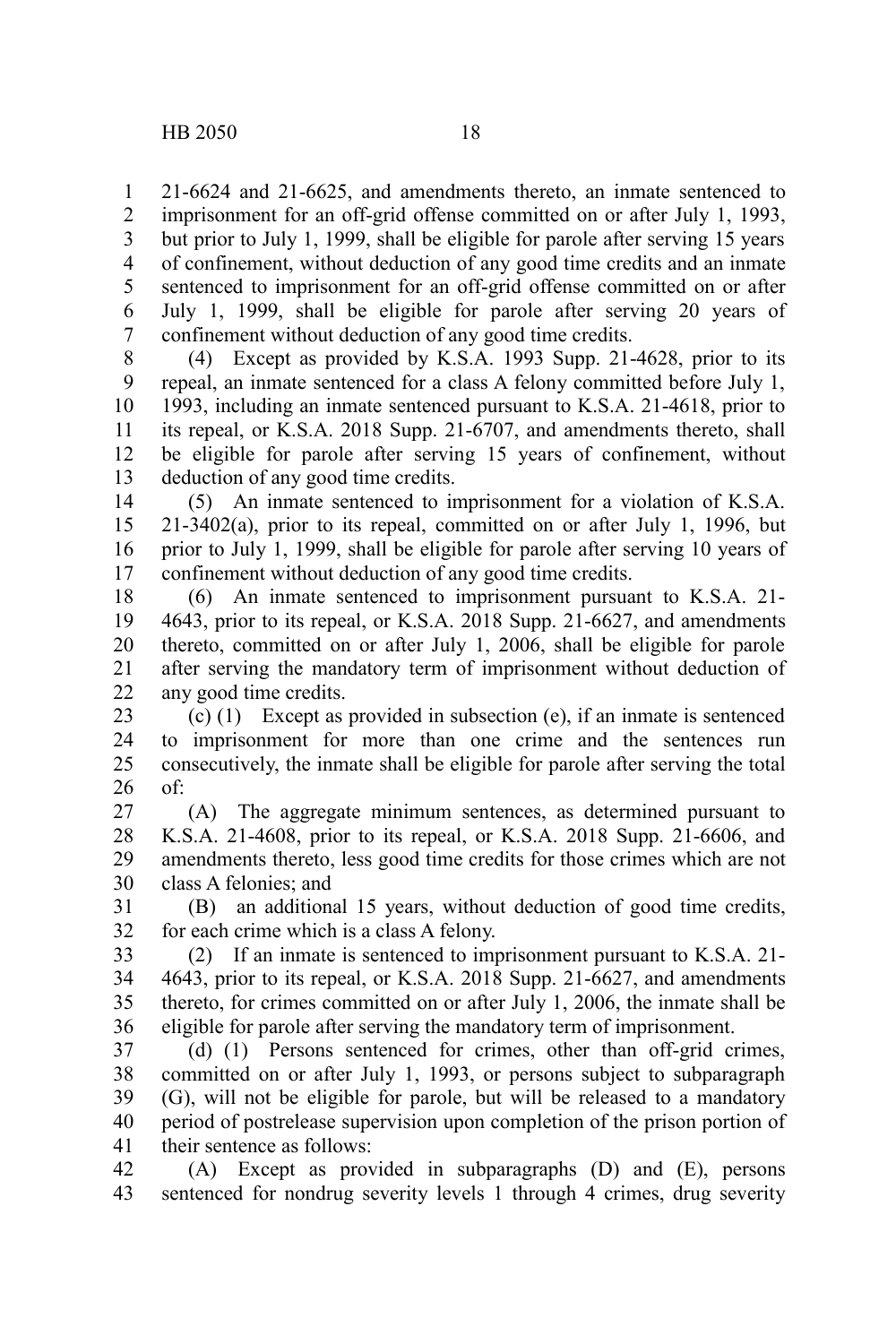21-6624 and 21-6625, and amendments thereto, an inmate sentenced to imprisonment for an off-grid offense committed on or after July 1, 1993, but prior to July 1, 1999, shall be eligible for parole after serving 15 years of confinement, without deduction of any good time credits and an inmate sentenced to imprisonment for an off-grid offense committed on or after July 1, 1999, shall be eligible for parole after serving 20 years of confinement without deduction of any good time credits. 1 2 3 4 5 6 7

(4) Except as provided by K.S.A. 1993 Supp. 21-4628, prior to its repeal, an inmate sentenced for a class A felony committed before July 1, 1993, including an inmate sentenced pursuant to K.S.A. 21-4618, prior to its repeal, or K.S.A. 2018 Supp. 21-6707, and amendments thereto, shall be eligible for parole after serving 15 years of confinement, without deduction of any good time credits. 8 9 10 11 12 13

(5) An inmate sentenced to imprisonment for a violation of K.S.A. 21-3402(a), prior to its repeal, committed on or after July 1, 1996, but prior to July 1, 1999, shall be eligible for parole after serving 10 years of confinement without deduction of any good time credits. 14 15 16 17

(6) An inmate sentenced to imprisonment pursuant to K.S.A. 21- 4643, prior to its repeal, or K.S.A. 2018 Supp. 21-6627, and amendments thereto, committed on or after July 1, 2006, shall be eligible for parole after serving the mandatory term of imprisonment without deduction of any good time credits. 18 19 20 21 22

(c) (1) Except as provided in subsection (e), if an inmate is sentenced to imprisonment for more than one crime and the sentences run consecutively, the inmate shall be eligible for parole after serving the total of: 23 24 25 26

(A) The aggregate minimum sentences, as determined pursuant to K.S.A. 21-4608, prior to its repeal, or K.S.A. 2018 Supp. 21-6606, and amendments thereto, less good time credits for those crimes which are not class A felonies; and 27 28 29 30

(B) an additional 15 years, without deduction of good time credits, for each crime which is a class A felony. 31 32

(2) If an inmate is sentenced to imprisonment pursuant to K.S.A. 21- 4643, prior to its repeal, or K.S.A. 2018 Supp. 21-6627, and amendments thereto, for crimes committed on or after July 1, 2006, the inmate shall be eligible for parole after serving the mandatory term of imprisonment. 33 34 35 36

(d) (1) Persons sentenced for crimes, other than off-grid crimes, committed on or after July 1, 1993, or persons subject to subparagraph (G), will not be eligible for parole, but will be released to a mandatory period of postrelease supervision upon completion of the prison portion of their sentence as follows: 37 38 39 40 41

(A) Except as provided in subparagraphs (D) and (E), persons sentenced for nondrug severity levels 1 through 4 crimes, drug severity 42 43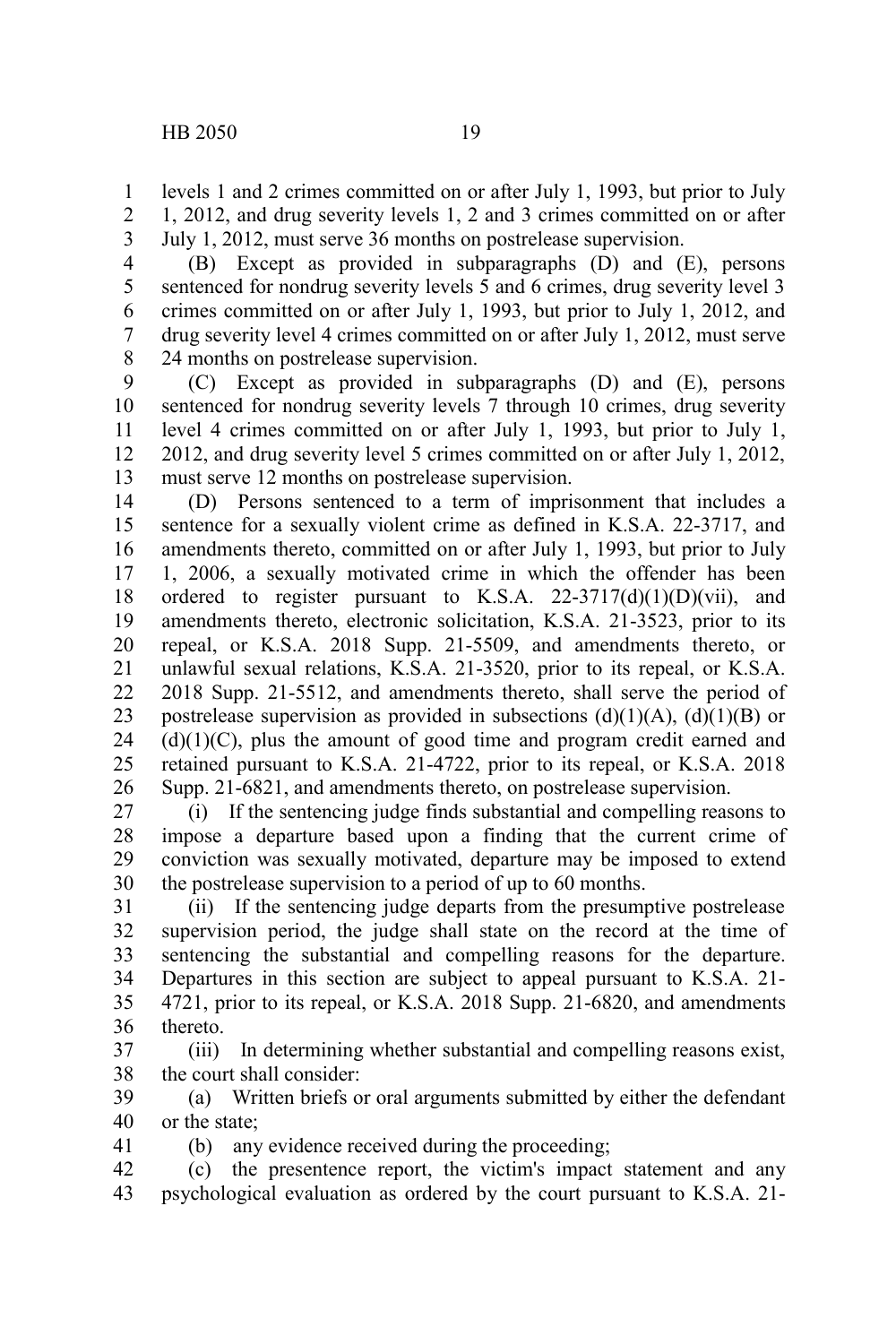levels 1 and 2 crimes committed on or after July 1, 1993, but prior to July 1, 2012, and drug severity levels 1, 2 and 3 crimes committed on or after July 1, 2012, must serve 36 months on postrelease supervision. 1 2 3

(B) Except as provided in subparagraphs (D) and (E), persons sentenced for nondrug severity levels 5 and 6 crimes, drug severity level 3 crimes committed on or after July 1, 1993, but prior to July 1, 2012, and drug severity level 4 crimes committed on or after July 1, 2012, must serve 24 months on postrelease supervision. 4 5 6 7 8

(C) Except as provided in subparagraphs (D) and (E), persons sentenced for nondrug severity levels 7 through 10 crimes, drug severity level 4 crimes committed on or after July 1, 1993, but prior to July 1, 2012, and drug severity level 5 crimes committed on or after July 1, 2012, must serve 12 months on postrelease supervision. 9 10 11 12 13

(D) Persons sentenced to a term of imprisonment that includes a sentence for a sexually violent crime as defined in K.S.A. 22-3717, and amendments thereto, committed on or after July 1, 1993, but prior to July 1, 2006, a sexually motivated crime in which the offender has been ordered to register pursuant to K.S.A.  $22-3717(d)(1)(D)(vii)$ , and amendments thereto, electronic solicitation, K.S.A. 21-3523, prior to its repeal, or K.S.A. 2018 Supp. 21-5509, and amendments thereto, or unlawful sexual relations, K.S.A. 21-3520, prior to its repeal, or K.S.A. 2018 Supp. 21-5512, and amendments thereto, shall serve the period of postrelease supervision as provided in subsections  $(d)(1)(A)$ ,  $(d)(1)(B)$  or  $(d)(1)(C)$ , plus the amount of good time and program credit earned and retained pursuant to K.S.A. 21-4722, prior to its repeal, or K.S.A. 2018 Supp. 21-6821, and amendments thereto, on postrelease supervision. 14 15 16 17 18 19 20 21 22 23 24 25 26

(i) If the sentencing judge finds substantial and compelling reasons to impose a departure based upon a finding that the current crime of conviction was sexually motivated, departure may be imposed to extend the postrelease supervision to a period of up to 60 months. 27 28 29 30

(ii) If the sentencing judge departs from the presumptive postrelease supervision period, the judge shall state on the record at the time of sentencing the substantial and compelling reasons for the departure. Departures in this section are subject to appeal pursuant to K.S.A. 21- 4721, prior to its repeal, or K.S.A. 2018 Supp. 21-6820, and amendments thereto. 31 32 33 34 35 36

(iii) In determining whether substantial and compelling reasons exist, the court shall consider: 37 38

(a) Written briefs or oral arguments submitted by either the defendant or the state; 39 40

(b) any evidence received during the proceeding;

41

(c) the presentence report, the victim's impact statement and any psychological evaluation as ordered by the court pursuant to K.S.A. 21- 42 43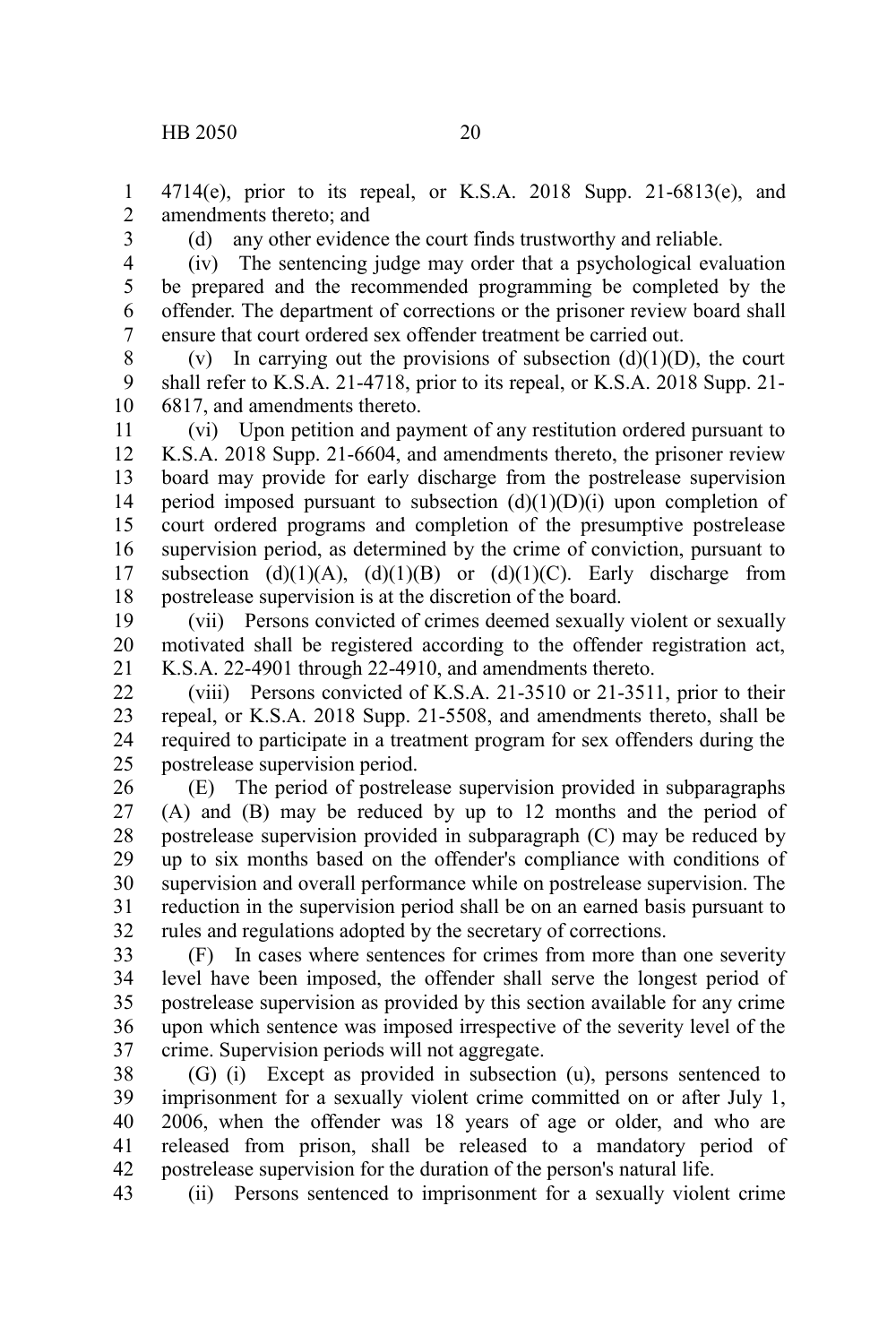4714(e), prior to its repeal, or K.S.A. 2018 Supp. 21-6813(e), and amendments thereto; and 1 2

3

(d) any other evidence the court finds trustworthy and reliable.

(iv) The sentencing judge may order that a psychological evaluation be prepared and the recommended programming be completed by the offender. The department of corrections or the prisoner review board shall ensure that court ordered sex offender treatment be carried out. 4 5 6 7

(v) In carrying out the provisions of subsection  $(d)(1)(D)$ , the court shall refer to K.S.A. 21-4718, prior to its repeal, or K.S.A. 2018 Supp. 21- 6817, and amendments thereto. 8 9 10

(vi) Upon petition and payment of any restitution ordered pursuant to K.S.A. 2018 Supp. 21-6604, and amendments thereto, the prisoner review board may provide for early discharge from the postrelease supervision period imposed pursuant to subsection  $(d)(1)(D)(i)$  upon completion of court ordered programs and completion of the presumptive postrelease supervision period, as determined by the crime of conviction, pursuant to subsection  $(d)(1)(A)$ ,  $(d)(1)(B)$  or  $(d)(1)(C)$ . Early discharge from postrelease supervision is at the discretion of the board. 11 12 13 14 15 16 17 18

(vii) Persons convicted of crimes deemed sexually violent or sexually motivated shall be registered according to the offender registration act, K.S.A. 22-4901 through 22-4910, and amendments thereto. 19 20 21

(viii) Persons convicted of K.S.A. 21-3510 or 21-3511, prior to their repeal, or K.S.A. 2018 Supp. 21-5508, and amendments thereto, shall be required to participate in a treatment program for sex offenders during the postrelease supervision period. 22 23 24 25

(E) The period of postrelease supervision provided in subparagraphs (A) and (B) may be reduced by up to 12 months and the period of postrelease supervision provided in subparagraph (C) may be reduced by up to six months based on the offender's compliance with conditions of supervision and overall performance while on postrelease supervision. The reduction in the supervision period shall be on an earned basis pursuant to rules and regulations adopted by the secretary of corrections. 26 27 28 29 30 31 32

(F) In cases where sentences for crimes from more than one severity level have been imposed, the offender shall serve the longest period of postrelease supervision as provided by this section available for any crime upon which sentence was imposed irrespective of the severity level of the crime. Supervision periods will not aggregate. 33 34 35 36 37

(G) (i) Except as provided in subsection (u), persons sentenced to imprisonment for a sexually violent crime committed on or after July 1, 2006, when the offender was 18 years of age or older, and who are released from prison, shall be released to a mandatory period of postrelease supervision for the duration of the person's natural life. 38 39 40 41 42

(ii) Persons sentenced to imprisonment for a sexually violent crime 43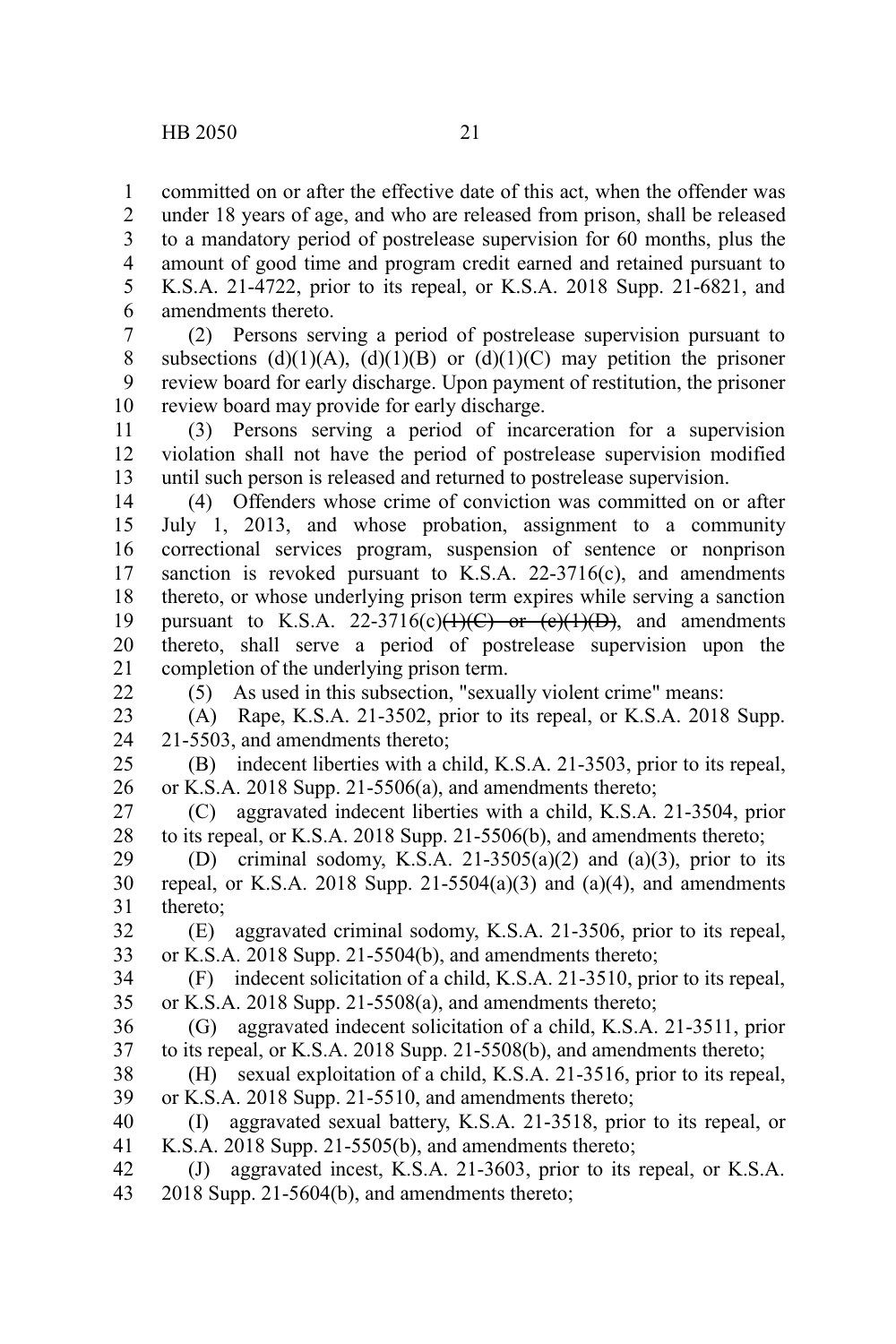committed on or after the effective date of this act, when the offender was under 18 years of age, and who are released from prison, shall be released to a mandatory period of postrelease supervision for 60 months, plus the amount of good time and program credit earned and retained pursuant to K.S.A. 21-4722, prior to its repeal, or K.S.A. 2018 Supp. 21-6821, and amendments thereto. 1 2 3 4 5 6

(2) Persons serving a period of postrelease supervision pursuant to subsections (d)(1)(A), (d)(1)(B) or (d)(1)(C) may petition the prisoner review board for early discharge. Upon payment of restitution, the prisoner review board may provide for early discharge. 7 8 9 10

(3) Persons serving a period of incarceration for a supervision violation shall not have the period of postrelease supervision modified until such person is released and returned to postrelease supervision. 11 12 13

(4) Offenders whose crime of conviction was committed on or after July 1, 2013, and whose probation, assignment to a community correctional services program, suspension of sentence or nonprison sanction is revoked pursuant to K.S.A.  $22-3716(c)$ , and amendments thereto, or whose underlying prison term expires while serving a sanction pursuant to K.S.A. 22-3716(c) $\left(\frac{1}{C}\right)$  or  $\left(\frac{e}{1}\right)\left(\frac{D}{D}\right)$ , and amendments thereto, shall serve a period of postrelease supervision upon the completion of the underlying prison term. 14 15 16 17 18 19 20 21

22

(5) As used in this subsection, "sexually violent crime" means:

(A) Rape, K.S.A. 21-3502, prior to its repeal, or K.S.A. 2018 Supp. 21-5503, and amendments thereto; 23 24

(B) indecent liberties with a child, K.S.A. 21-3503, prior to its repeal, or K.S.A. 2018 Supp. 21-5506(a), and amendments thereto; 25 26

(C) aggravated indecent liberties with a child, K.S.A. 21-3504, prior to its repeal, or K.S.A. 2018 Supp. 21-5506(b), and amendments thereto; 27 28

(D) criminal sodomy, K.S.A. 21-3505(a)(2) and (a)(3), prior to its repeal, or K.S.A. 2018 Supp.  $21-5504(a)(3)$  and  $(a)(4)$ , and amendments thereto; 29 30 31

(E) aggravated criminal sodomy, K.S.A. 21-3506, prior to its repeal, or K.S.A. 2018 Supp. 21-5504(b), and amendments thereto; 32 33

(F) indecent solicitation of a child, K.S.A. 21-3510, prior to its repeal, or K.S.A. 2018 Supp. 21-5508(a), and amendments thereto; 34 35

(G) aggravated indecent solicitation of a child, K.S.A. 21-3511, prior to its repeal, or K.S.A. 2018 Supp. 21-5508(b), and amendments thereto; 36 37

(H) sexual exploitation of a child, K.S.A. 21-3516, prior to its repeal, or K.S.A. 2018 Supp. 21-5510, and amendments thereto; 38 39

(I) aggravated sexual battery, K.S.A. 21-3518, prior to its repeal, or K.S.A. 2018 Supp. 21-5505(b), and amendments thereto; 40 41

(J) aggravated incest, K.S.A. 21-3603, prior to its repeal, or K.S.A. 2018 Supp. 21-5604(b), and amendments thereto; 42 43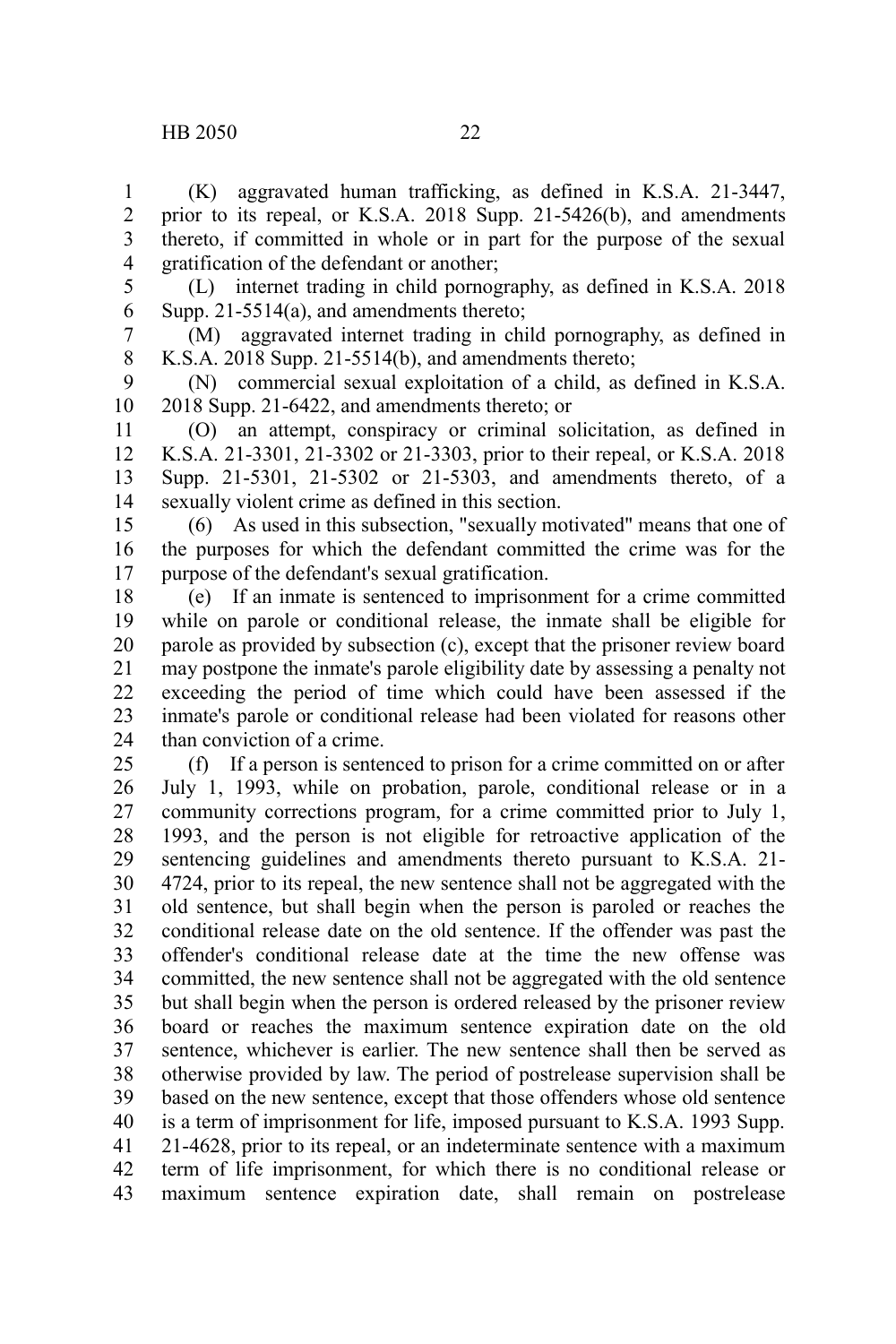(K) aggravated human trafficking, as defined in K.S.A. 21-3447, prior to its repeal, or K.S.A. 2018 Supp. 21-5426(b), and amendments thereto, if committed in whole or in part for the purpose of the sexual gratification of the defendant or another; 1 2 3 4

5 6

(L) internet trading in child pornography, as defined in K.S.A. 2018 Supp. 21-5514(a), and amendments thereto;

(M) aggravated internet trading in child pornography, as defined in K.S.A. 2018 Supp. 21-5514(b), and amendments thereto; 7 8

(N) commercial sexual exploitation of a child, as defined in K.S.A. 2018 Supp. 21-6422, and amendments thereto; or 9 10

(O) an attempt, conspiracy or criminal solicitation, as defined in K.S.A. 21-3301, 21-3302 or 21-3303, prior to their repeal, or K.S.A. 2018 Supp. 21-5301, 21-5302 or 21-5303, and amendments thereto, of a sexually violent crime as defined in this section. 11 12 13 14

(6) As used in this subsection, "sexually motivated" means that one of the purposes for which the defendant committed the crime was for the purpose of the defendant's sexual gratification. 15 16 17

(e) If an inmate is sentenced to imprisonment for a crime committed while on parole or conditional release, the inmate shall be eligible for parole as provided by subsection (c), except that the prisoner review board may postpone the inmate's parole eligibility date by assessing a penalty not exceeding the period of time which could have been assessed if the inmate's parole or conditional release had been violated for reasons other than conviction of a crime. 18 19 20 21 22 23 24

(f) If a person is sentenced to prison for a crime committed on or after July 1, 1993, while on probation, parole, conditional release or in a community corrections program, for a crime committed prior to July 1, 1993, and the person is not eligible for retroactive application of the sentencing guidelines and amendments thereto pursuant to K.S.A. 21- 4724, prior to its repeal, the new sentence shall not be aggregated with the old sentence, but shall begin when the person is paroled or reaches the conditional release date on the old sentence. If the offender was past the offender's conditional release date at the time the new offense was committed, the new sentence shall not be aggregated with the old sentence but shall begin when the person is ordered released by the prisoner review board or reaches the maximum sentence expiration date on the old sentence, whichever is earlier. The new sentence shall then be served as otherwise provided by law. The period of postrelease supervision shall be based on the new sentence, except that those offenders whose old sentence is a term of imprisonment for life, imposed pursuant to K.S.A. 1993 Supp. 21-4628, prior to its repeal, or an indeterminate sentence with a maximum term of life imprisonment, for which there is no conditional release or maximum sentence expiration date, shall remain on postrelease 25 26 27 28 29 30 31 32 33 34 35 36 37 38 39 40 41 42 43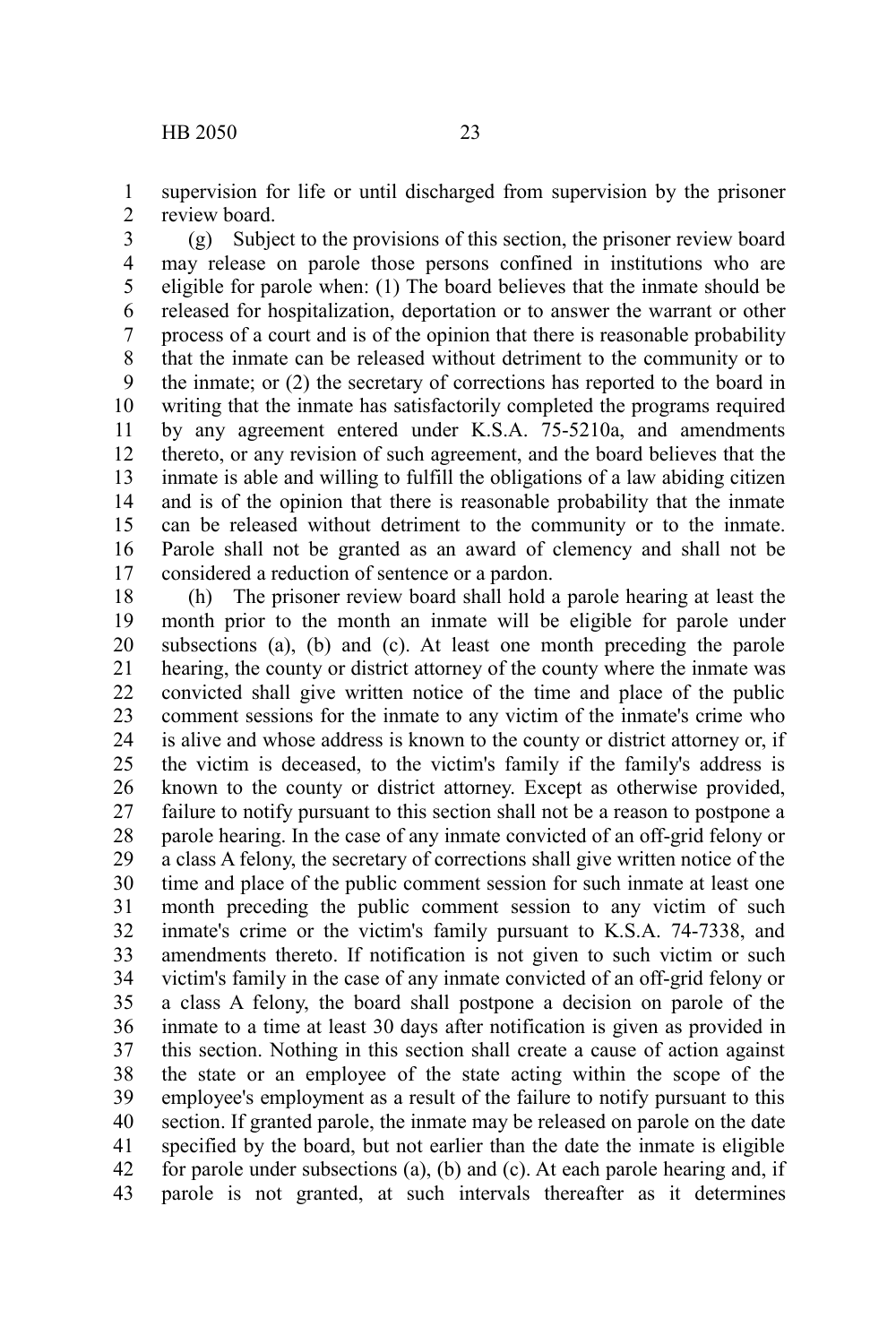supervision for life or until discharged from supervision by the prisoner review board. 1 2

(g) Subject to the provisions of this section, the prisoner review board may release on parole those persons confined in institutions who are eligible for parole when: (1) The board believes that the inmate should be released for hospitalization, deportation or to answer the warrant or other process of a court and is of the opinion that there is reasonable probability that the inmate can be released without detriment to the community or to the inmate; or (2) the secretary of corrections has reported to the board in writing that the inmate has satisfactorily completed the programs required by any agreement entered under K.S.A. 75-5210a, and amendments thereto, or any revision of such agreement, and the board believes that the inmate is able and willing to fulfill the obligations of a law abiding citizen and is of the opinion that there is reasonable probability that the inmate can be released without detriment to the community or to the inmate. Parole shall not be granted as an award of clemency and shall not be considered a reduction of sentence or a pardon. 3 4 5 6 7 8 9 10 11 12 13 14 15 16 17

(h) The prisoner review board shall hold a parole hearing at least the month prior to the month an inmate will be eligible for parole under subsections (a), (b) and (c). At least one month preceding the parole hearing, the county or district attorney of the county where the inmate was convicted shall give written notice of the time and place of the public comment sessions for the inmate to any victim of the inmate's crime who is alive and whose address is known to the county or district attorney or, if the victim is deceased, to the victim's family if the family's address is known to the county or district attorney. Except as otherwise provided, failure to notify pursuant to this section shall not be a reason to postpone a parole hearing. In the case of any inmate convicted of an off-grid felony or a class A felony, the secretary of corrections shall give written notice of the time and place of the public comment session for such inmate at least one month preceding the public comment session to any victim of such inmate's crime or the victim's family pursuant to K.S.A. 74-7338, and amendments thereto. If notification is not given to such victim or such victim's family in the case of any inmate convicted of an off-grid felony or a class A felony, the board shall postpone a decision on parole of the inmate to a time at least 30 days after notification is given as provided in this section. Nothing in this section shall create a cause of action against the state or an employee of the state acting within the scope of the employee's employment as a result of the failure to notify pursuant to this section. If granted parole, the inmate may be released on parole on the date specified by the board, but not earlier than the date the inmate is eligible for parole under subsections (a), (b) and (c). At each parole hearing and, if parole is not granted, at such intervals thereafter as it determines 18 19 20 21 22 23 24 25 26 27 28 29 30 31 32 33 34 35 36 37 38 39 40 41 42 43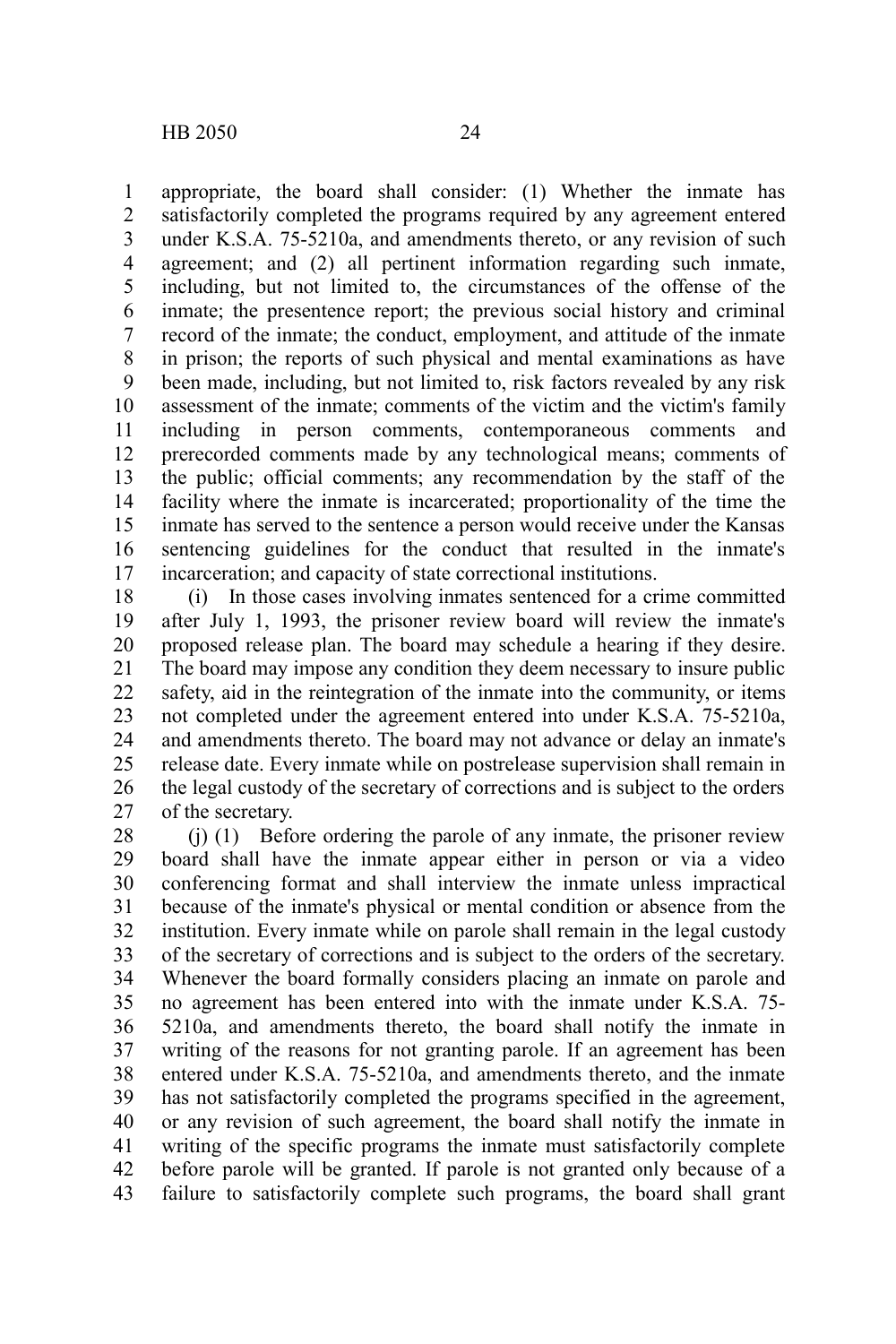appropriate, the board shall consider: (1) Whether the inmate has satisfactorily completed the programs required by any agreement entered under K.S.A. 75-5210a, and amendments thereto, or any revision of such agreement; and (2) all pertinent information regarding such inmate, including, but not limited to, the circumstances of the offense of the inmate; the presentence report; the previous social history and criminal record of the inmate; the conduct, employment, and attitude of the inmate in prison; the reports of such physical and mental examinations as have been made, including, but not limited to, risk factors revealed by any risk assessment of the inmate; comments of the victim and the victim's family including in person comments, contemporaneous comments and prerecorded comments made by any technological means; comments of the public; official comments; any recommendation by the staff of the facility where the inmate is incarcerated; proportionality of the time the inmate has served to the sentence a person would receive under the Kansas sentencing guidelines for the conduct that resulted in the inmate's incarceration; and capacity of state correctional institutions. 1 2 3 4 5 6 7 8 9 10 11 12 13 14 15 16 17

(i) In those cases involving inmates sentenced for a crime committed after July 1, 1993, the prisoner review board will review the inmate's proposed release plan. The board may schedule a hearing if they desire. The board may impose any condition they deem necessary to insure public safety, aid in the reintegration of the inmate into the community, or items not completed under the agreement entered into under K.S.A. 75-5210a, and amendments thereto. The board may not advance or delay an inmate's release date. Every inmate while on postrelease supervision shall remain in the legal custody of the secretary of corrections and is subject to the orders of the secretary. 18 19 20 21 22 23 24 25 26 27

(j) (1) Before ordering the parole of any inmate, the prisoner review board shall have the inmate appear either in person or via a video conferencing format and shall interview the inmate unless impractical because of the inmate's physical or mental condition or absence from the institution. Every inmate while on parole shall remain in the legal custody of the secretary of corrections and is subject to the orders of the secretary. Whenever the board formally considers placing an inmate on parole and no agreement has been entered into with the inmate under K.S.A. 75- 5210a, and amendments thereto, the board shall notify the inmate in writing of the reasons for not granting parole. If an agreement has been entered under K.S.A. 75-5210a, and amendments thereto, and the inmate has not satisfactorily completed the programs specified in the agreement, or any revision of such agreement, the board shall notify the inmate in writing of the specific programs the inmate must satisfactorily complete before parole will be granted. If parole is not granted only because of a failure to satisfactorily complete such programs, the board shall grant 28 29 30 31 32 33 34 35 36 37 38 39 40 41 42 43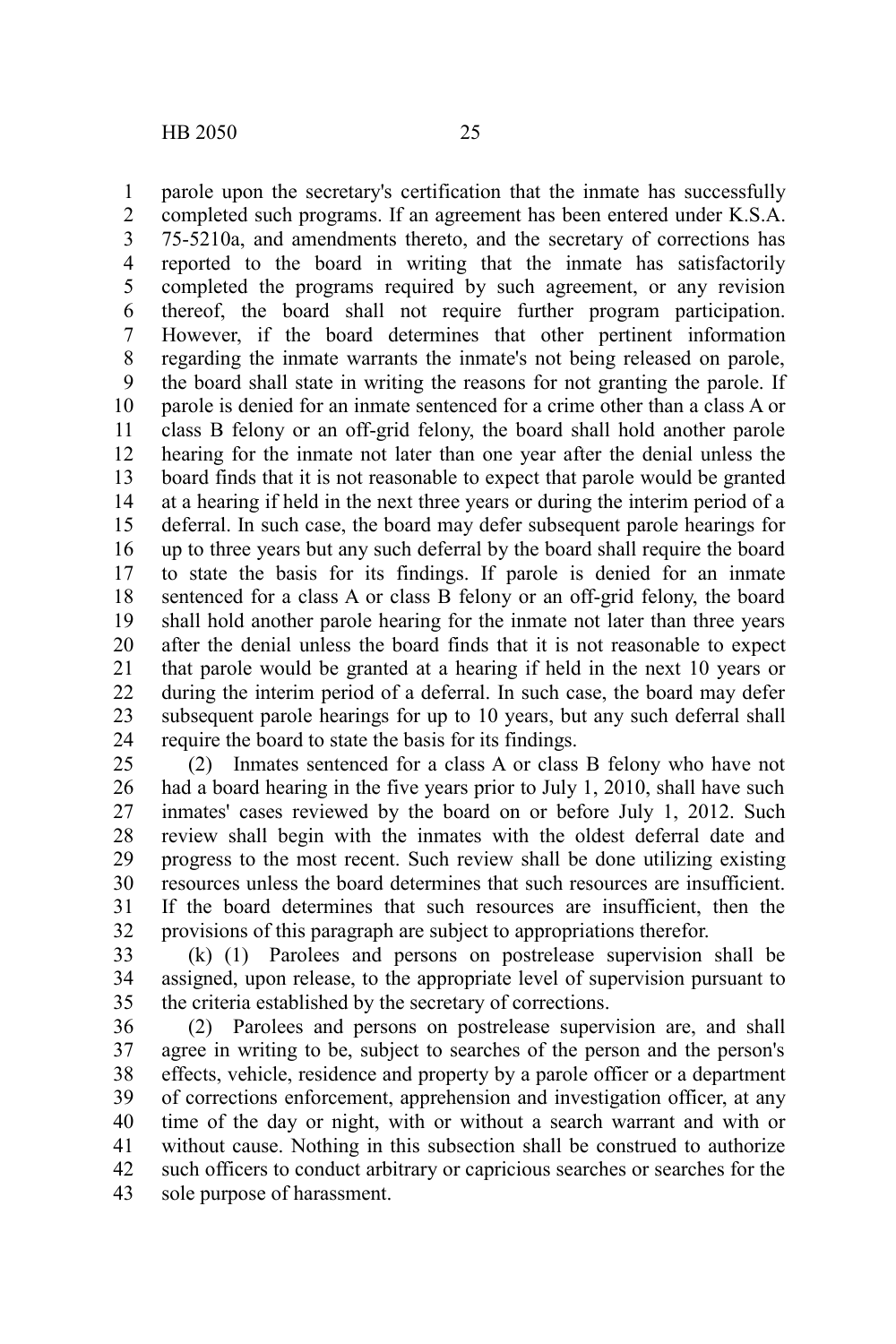parole upon the secretary's certification that the inmate has successfully completed such programs. If an agreement has been entered under K.S.A. 75-5210a, and amendments thereto, and the secretary of corrections has reported to the board in writing that the inmate has satisfactorily completed the programs required by such agreement, or any revision thereof, the board shall not require further program participation. However, if the board determines that other pertinent information regarding the inmate warrants the inmate's not being released on parole, the board shall state in writing the reasons for not granting the parole. If parole is denied for an inmate sentenced for a crime other than a class A or class B felony or an off-grid felony, the board shall hold another parole hearing for the inmate not later than one year after the denial unless the board finds that it is not reasonable to expect that parole would be granted at a hearing if held in the next three years or during the interim period of a deferral. In such case, the board may defer subsequent parole hearings for up to three years but any such deferral by the board shall require the board to state the basis for its findings. If parole is denied for an inmate sentenced for a class A or class B felony or an off-grid felony, the board shall hold another parole hearing for the inmate not later than three years after the denial unless the board finds that it is not reasonable to expect that parole would be granted at a hearing if held in the next 10 years or during the interim period of a deferral. In such case, the board may defer subsequent parole hearings for up to 10 years, but any such deferral shall require the board to state the basis for its findings. 1 2 3 4 5 6 7 8 9 10 11 12 13 14 15 16 17 18 19 20 21 22 23 24

(2) Inmates sentenced for a class A or class B felony who have not had a board hearing in the five years prior to July 1, 2010, shall have such inmates' cases reviewed by the board on or before July 1, 2012. Such review shall begin with the inmates with the oldest deferral date and progress to the most recent. Such review shall be done utilizing existing resources unless the board determines that such resources are insufficient. If the board determines that such resources are insufficient, then the provisions of this paragraph are subject to appropriations therefor. 25 26 27 28 29 30 31 32

(k) (1) Parolees and persons on postrelease supervision shall be assigned, upon release, to the appropriate level of supervision pursuant to the criteria established by the secretary of corrections. 33 34 35

(2) Parolees and persons on postrelease supervision are, and shall agree in writing to be, subject to searches of the person and the person's effects, vehicle, residence and property by a parole officer or a department of corrections enforcement, apprehension and investigation officer, at any time of the day or night, with or without a search warrant and with or without cause. Nothing in this subsection shall be construed to authorize such officers to conduct arbitrary or capricious searches or searches for the sole purpose of harassment. 36 37 38 39 40 41 42 43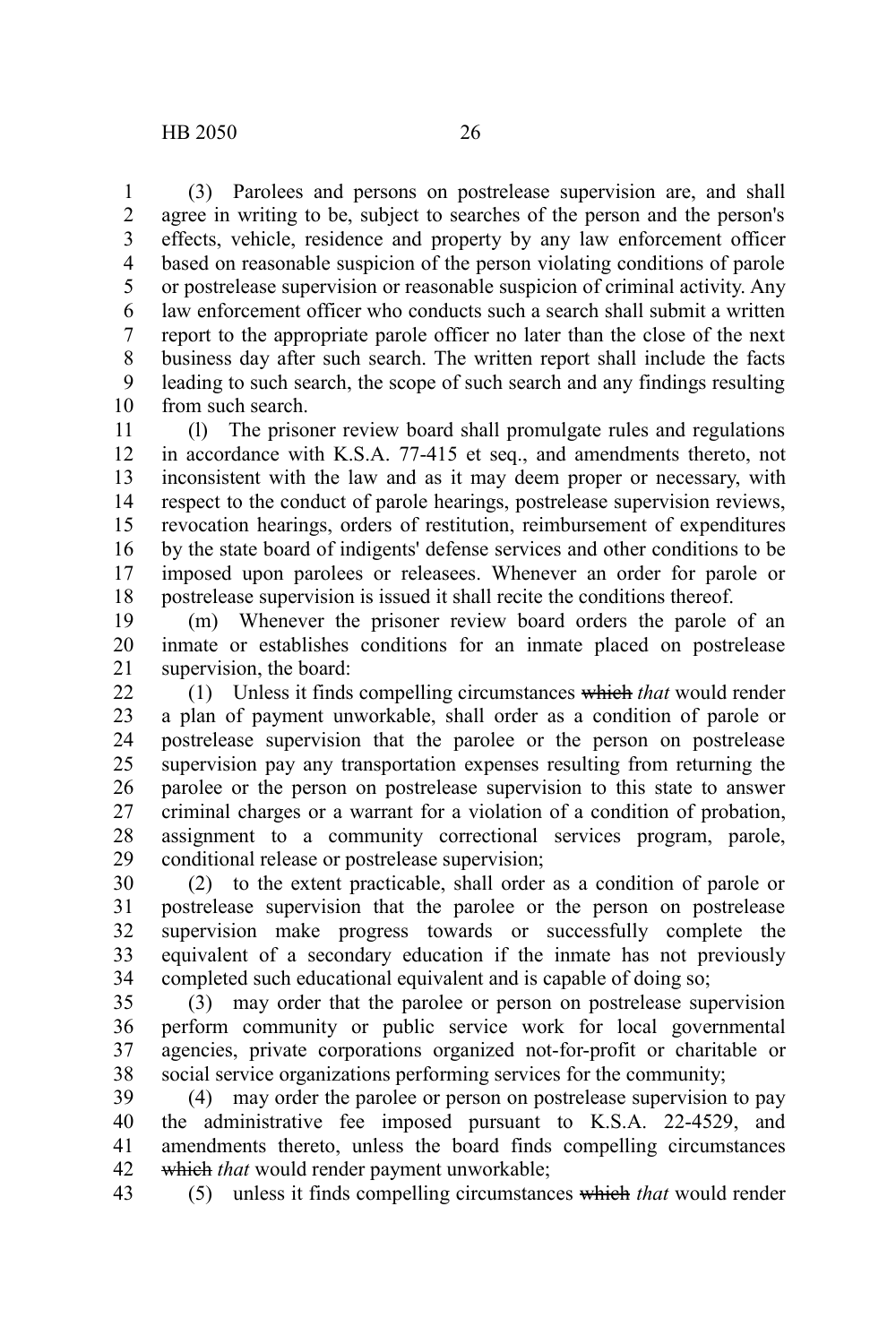(3) Parolees and persons on postrelease supervision are, and shall agree in writing to be, subject to searches of the person and the person's effects, vehicle, residence and property by any law enforcement officer based on reasonable suspicion of the person violating conditions of parole or postrelease supervision or reasonable suspicion of criminal activity. Any law enforcement officer who conducts such a search shall submit a written report to the appropriate parole officer no later than the close of the next business day after such search. The written report shall include the facts leading to such search, the scope of such search and any findings resulting from such search. 1 2 3 4 5 6 7 8 9 10

(l) The prisoner review board shall promulgate rules and regulations in accordance with K.S.A. 77-415 et seq., and amendments thereto, not inconsistent with the law and as it may deem proper or necessary, with respect to the conduct of parole hearings, postrelease supervision reviews, revocation hearings, orders of restitution, reimbursement of expenditures by the state board of indigents' defense services and other conditions to be imposed upon parolees or releasees. Whenever an order for parole or postrelease supervision is issued it shall recite the conditions thereof. 11 12 13 14 15 16 17 18

(m) Whenever the prisoner review board orders the parole of an inmate or establishes conditions for an inmate placed on postrelease supervision, the board: 19 20 21

(1) Unless it finds compelling circumstances which *that* would render a plan of payment unworkable, shall order as a condition of parole or postrelease supervision that the parolee or the person on postrelease supervision pay any transportation expenses resulting from returning the parolee or the person on postrelease supervision to this state to answer criminal charges or a warrant for a violation of a condition of probation, assignment to a community correctional services program, parole, conditional release or postrelease supervision; 22 23 24 25 26 27 28 29

(2) to the extent practicable, shall order as a condition of parole or postrelease supervision that the parolee or the person on postrelease supervision make progress towards or successfully complete the equivalent of a secondary education if the inmate has not previously completed such educational equivalent and is capable of doing so; 30 31 32 33 34

(3) may order that the parolee or person on postrelease supervision perform community or public service work for local governmental agencies, private corporations organized not-for-profit or charitable or social service organizations performing services for the community; 35 36 37 38

(4) may order the parolee or person on postrelease supervision to pay the administrative fee imposed pursuant to K.S.A. 22-4529, and amendments thereto, unless the board finds compelling circumstances which *that* would render payment unworkable; 39 40 41 42

(5) unless it finds compelling circumstances which *that* would render 43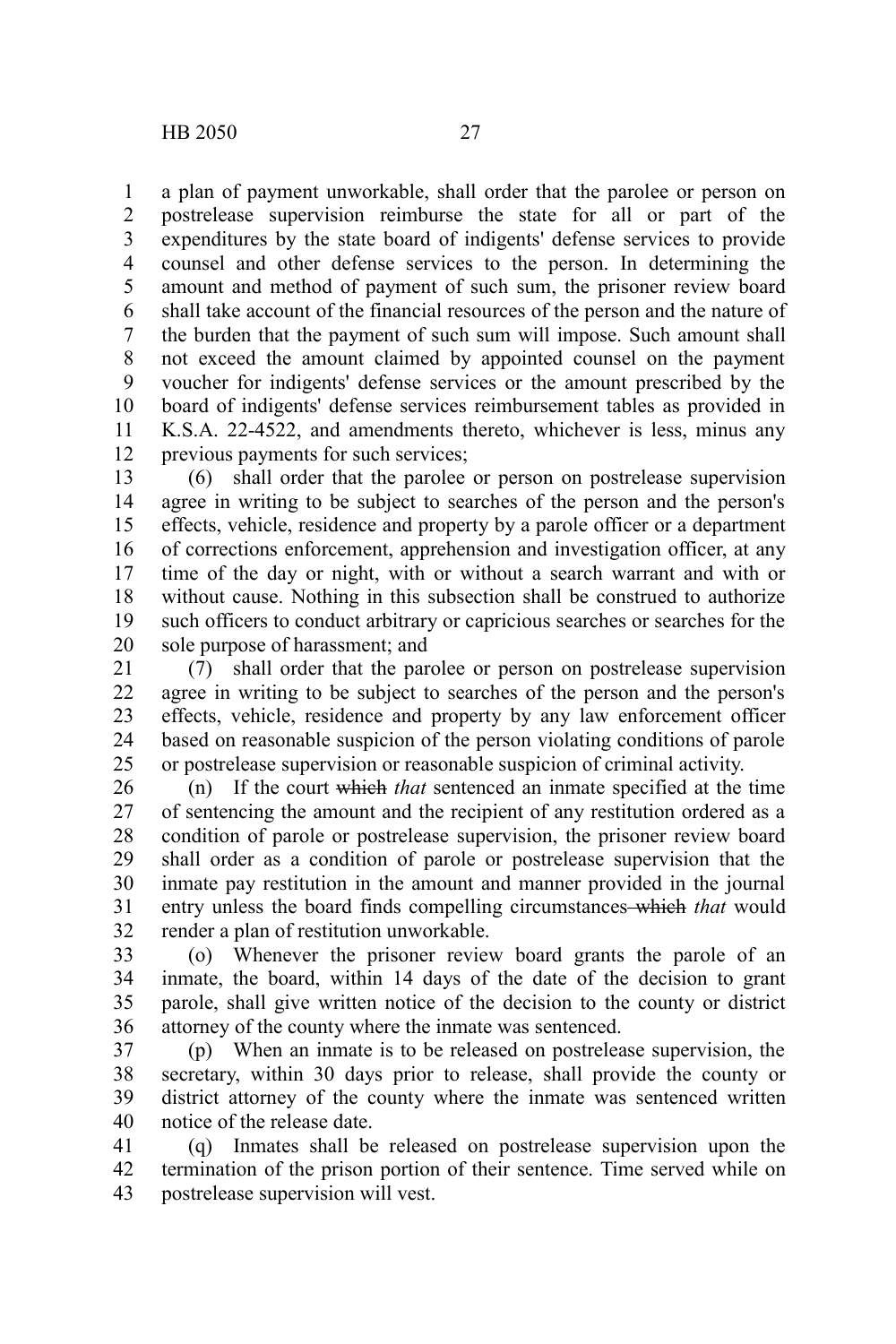a plan of payment unworkable, shall order that the parolee or person on postrelease supervision reimburse the state for all or part of the expenditures by the state board of indigents' defense services to provide counsel and other defense services to the person. In determining the amount and method of payment of such sum, the prisoner review board shall take account of the financial resources of the person and the nature of the burden that the payment of such sum will impose. Such amount shall not exceed the amount claimed by appointed counsel on the payment voucher for indigents' defense services or the amount prescribed by the board of indigents' defense services reimbursement tables as provided in K.S.A. 22-4522, and amendments thereto, whichever is less, minus any previous payments for such services; 1 2 3 4 5 6 7 8 9 10 11 12

(6) shall order that the parolee or person on postrelease supervision agree in writing to be subject to searches of the person and the person's effects, vehicle, residence and property by a parole officer or a department of corrections enforcement, apprehension and investigation officer, at any time of the day or night, with or without a search warrant and with or without cause. Nothing in this subsection shall be construed to authorize such officers to conduct arbitrary or capricious searches or searches for the sole purpose of harassment; and 13 14 15 16 17 18 19 20

(7) shall order that the parolee or person on postrelease supervision agree in writing to be subject to searches of the person and the person's effects, vehicle, residence and property by any law enforcement officer based on reasonable suspicion of the person violating conditions of parole or postrelease supervision or reasonable suspicion of criminal activity. 21 22 23 24 25

(n) If the court which *that* sentenced an inmate specified at the time of sentencing the amount and the recipient of any restitution ordered as a condition of parole or postrelease supervision, the prisoner review board shall order as a condition of parole or postrelease supervision that the inmate pay restitution in the amount and manner provided in the journal entry unless the board finds compelling circumstances which *that* would render a plan of restitution unworkable. 26 27 28 29 30 31 32

(o) Whenever the prisoner review board grants the parole of an inmate, the board, within 14 days of the date of the decision to grant parole, shall give written notice of the decision to the county or district attorney of the county where the inmate was sentenced. 33 34 35 36

(p) When an inmate is to be released on postrelease supervision, the secretary, within 30 days prior to release, shall provide the county or district attorney of the county where the inmate was sentenced written notice of the release date. 37 38 39 40

(q) Inmates shall be released on postrelease supervision upon the termination of the prison portion of their sentence. Time served while on postrelease supervision will vest. 41 42 43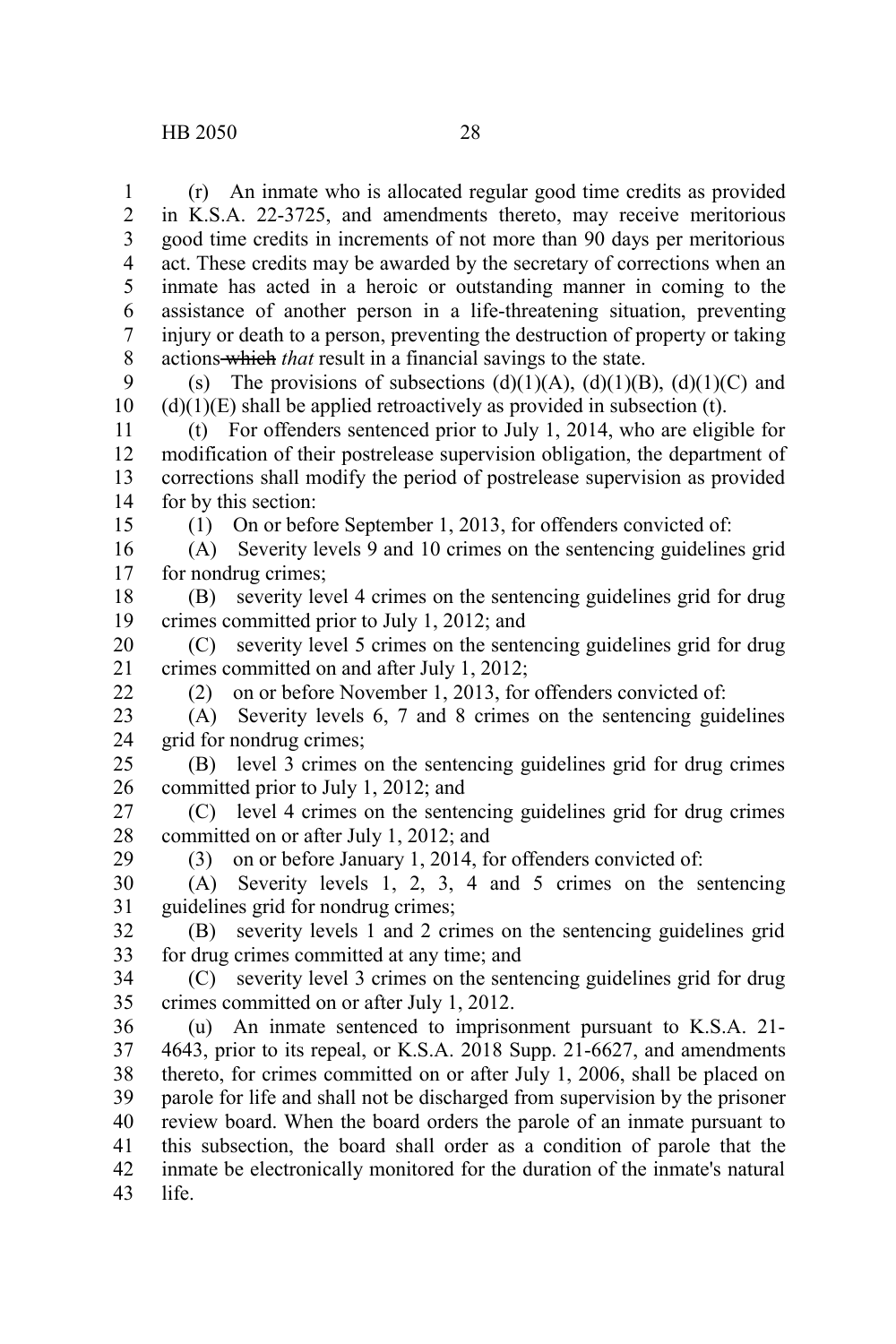(r) An inmate who is allocated regular good time credits as provided in K.S.A. 22-3725, and amendments thereto, may receive meritorious good time credits in increments of not more than 90 days per meritorious act. These credits may be awarded by the secretary of corrections when an inmate has acted in a heroic or outstanding manner in coming to the assistance of another person in a life-threatening situation, preventing injury or death to a person, preventing the destruction of property or taking actions which *that* result in a financial savings to the state. 1 2 3 4 5 6 7 8

(s) The provisions of subsections  $(d)(1)(A)$ ,  $(d)(1)(B)$ ,  $(d)(1)(C)$  and  $(d)(1)(E)$  shall be applied retroactively as provided in subsection (t). 9 10

(t) For offenders sentenced prior to July 1, 2014, who are eligible for modification of their postrelease supervision obligation, the department of corrections shall modify the period of postrelease supervision as provided for by this section: 11 12 13 14

15

29

(1) On or before September 1, 2013, for offenders convicted of:

(A) Severity levels 9 and 10 crimes on the sentencing guidelines grid for nondrug crimes; 16 17

(B) severity level 4 crimes on the sentencing guidelines grid for drug crimes committed prior to July 1, 2012; and 18 19

(C) severity level 5 crimes on the sentencing guidelines grid for drug crimes committed on and after July 1, 2012; 20 21 22

(2) on or before November 1, 2013, for offenders convicted of:

(A) Severity levels 6, 7 and 8 crimes on the sentencing guidelines grid for nondrug crimes; 23 24

(B) level 3 crimes on the sentencing guidelines grid for drug crimes committed prior to July 1, 2012; and 25 26

(C) level 4 crimes on the sentencing guidelines grid for drug crimes committed on or after July 1, 2012; and 27 28

(3) on or before January 1, 2014, for offenders convicted of:

(A) Severity levels 1, 2, 3, 4 and 5 crimes on the sentencing guidelines grid for nondrug crimes; 30 31

(B) severity levels 1 and 2 crimes on the sentencing guidelines grid for drug crimes committed at any time; and 32 33

(C) severity level 3 crimes on the sentencing guidelines grid for drug crimes committed on or after July 1, 2012. 34 35

(u) An inmate sentenced to imprisonment pursuant to K.S.A. 21- 4643, prior to its repeal, or K.S.A. 2018 Supp. 21-6627, and amendments thereto, for crimes committed on or after July 1, 2006, shall be placed on parole for life and shall not be discharged from supervision by the prisoner review board. When the board orders the parole of an inmate pursuant to this subsection, the board shall order as a condition of parole that the inmate be electronically monitored for the duration of the inmate's natural life. 36 37 38 39 40 41 42 43